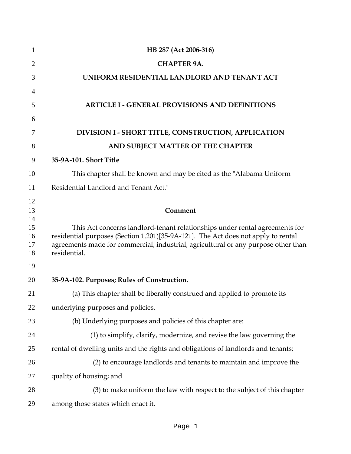| 1        | HB 287 (Act 2006-316)                                                                              |
|----------|----------------------------------------------------------------------------------------------------|
| 2        | <b>CHAPTER 9A.</b>                                                                                 |
| 3        | UNIFORM RESIDENTIAL LANDLORD AND TENANT ACT                                                        |
| 4        |                                                                                                    |
| 5        | <b>ARTICLE I - GENERAL PROVISIONS AND DEFINITIONS</b>                                              |
| 6        |                                                                                                    |
| 7        | DIVISION I - SHORT TITLE, CONSTRUCTION, APPLICATION                                                |
| 8        | AND SUBJECT MATTER OF THE CHAPTER                                                                  |
| 9        | 35-9A-101. Short Title                                                                             |
| 10       | This chapter shall be known and may be cited as the "Alabama Uniform                               |
| 11       | Residential Landlord and Tenant Act."                                                              |
| 12       |                                                                                                    |
| 13<br>14 | Comment                                                                                            |
| 15       | This Act concerns landlord-tenant relationships under rental agreements for                        |
| 16       | residential purposes (Section 1.201)[35-9A-121]. The Act does not apply to rental                  |
| 17<br>18 | agreements made for commercial, industrial, agricultural or any purpose other than<br>residential. |
| 19       |                                                                                                    |
| 20       | 35-9A-102. Purposes; Rules of Construction.                                                        |
| 21       | (a) This chapter shall be liberally construed and applied to promote its                           |
| 22       | underlying purposes and policies.                                                                  |
| 23       | (b) Underlying purposes and policies of this chapter are:                                          |
| 24       | (1) to simplify, clarify, modernize, and revise the law governing the                              |
| 25       | rental of dwelling units and the rights and obligations of landlords and tenants;                  |
| 26       | (2) to encourage landlords and tenants to maintain and improve the                                 |
| 27       | quality of housing; and                                                                            |
| 28       | (3) to make uniform the law with respect to the subject of this chapter                            |
| 29       | among those states which enact it.                                                                 |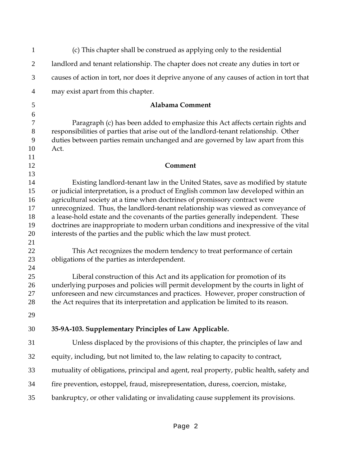| $\mathbf{1}$   | (c) This chapter shall be construed as applying only to the residential                                                                                       |
|----------------|---------------------------------------------------------------------------------------------------------------------------------------------------------------|
| $\overline{2}$ | landlord and tenant relationship. The chapter does not create any duties in tort or                                                                           |
| 3              | causes of action in tort, nor does it deprive anyone of any causes of action in tort that                                                                     |
| 4              | may exist apart from this chapter.                                                                                                                            |
| 5              | Alabama Comment                                                                                                                                               |
| 6              |                                                                                                                                                               |
| $\tau$         | Paragraph (c) has been added to emphasize this Act affects certain rights and                                                                                 |
| $8\,$          | responsibilities of parties that arise out of the landlord-tenant relationship. Other                                                                         |
| 9              | duties between parties remain unchanged and are governed by law apart from this                                                                               |
| 10             | Act.                                                                                                                                                          |
| 11             |                                                                                                                                                               |
| 12             | Comment                                                                                                                                                       |
| 13             |                                                                                                                                                               |
| 14             | Existing landlord-tenant law in the United States, save as modified by statute                                                                                |
| 15<br>16       | or judicial interpretation, is a product of English common law developed within an                                                                            |
| 17             | agricultural society at a time when doctrines of promissory contract were<br>unrecognized. Thus, the landlord-tenant relationship was viewed as conveyance of |
| 18             | a lease-hold estate and the covenants of the parties generally independent. These                                                                             |
| 19             | doctrines are inappropriate to modern urban conditions and inexpressive of the vital                                                                          |
| 20             | interests of the parties and the public which the law must protect.                                                                                           |
| 21             |                                                                                                                                                               |
| 22             | This Act recognizes the modern tendency to treat performance of certain                                                                                       |
| 23             | obligations of the parties as interdependent.                                                                                                                 |
| 24             |                                                                                                                                                               |
| 25             | Liberal construction of this Act and its application for promotion of its                                                                                     |
| 26             | underlying purposes and policies will permit development by the courts in light of                                                                            |
| 27             | unforeseen and new circumstances and practices. However, proper construction of                                                                               |
| 28             | the Act requires that its interpretation and application be limited to its reason.                                                                            |
| 29             |                                                                                                                                                               |
| 30             | 35-9A-103. Supplementary Principles of Law Applicable.                                                                                                        |
| 31             | Unless displaced by the provisions of this chapter, the principles of law and                                                                                 |
| 32             | equity, including, but not limited to, the law relating to capacity to contract,                                                                              |
| 33             | mutuality of obligations, principal and agent, real property, public health, safety and                                                                       |
| 34             | fire prevention, estoppel, fraud, misrepresentation, duress, coercion, mistake,                                                                               |
| 35             | bankruptcy, or other validating or invalidating cause supplement its provisions.                                                                              |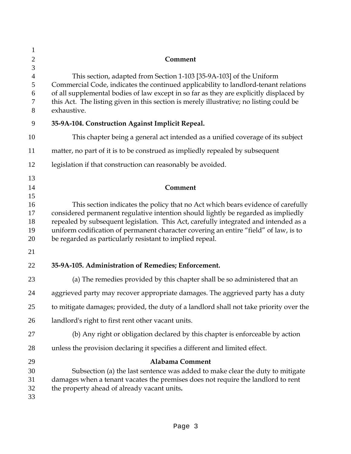| $\mathbf{1}$                            |                                                                                                                                                                                                                                                                                                                                                                                                                  |
|-----------------------------------------|------------------------------------------------------------------------------------------------------------------------------------------------------------------------------------------------------------------------------------------------------------------------------------------------------------------------------------------------------------------------------------------------------------------|
| $\overline{2}$                          | Comment                                                                                                                                                                                                                                                                                                                                                                                                          |
| 3<br>$\overline{4}$<br>5<br>6<br>7<br>8 | This section, adapted from Section 1-103 [35-9A-103] of the Uniform<br>Commercial Code, indicates the continued applicability to landlord-tenant relations<br>of all supplemental bodies of law except in so far as they are explicitly displaced by<br>this Act. The listing given in this section is merely illustrative; no listing could be<br>exhaustive.                                                   |
| 9                                       | 35-9A-104. Construction Against Implicit Repeal.                                                                                                                                                                                                                                                                                                                                                                 |
| 10                                      | This chapter being a general act intended as a unified coverage of its subject                                                                                                                                                                                                                                                                                                                                   |
| 11                                      | matter, no part of it is to be construed as impliedly repealed by subsequent                                                                                                                                                                                                                                                                                                                                     |
| 12                                      | legislation if that construction can reasonably be avoided.                                                                                                                                                                                                                                                                                                                                                      |
| 13<br>14                                | Comment                                                                                                                                                                                                                                                                                                                                                                                                          |
| 15<br>16<br>17<br>18<br>19<br>20        | This section indicates the policy that no Act which bears evidence of carefully<br>considered permanent regulative intention should lightly be regarded as impliedly<br>repealed by subsequent legislation. This Act, carefully integrated and intended as a<br>uniform codification of permanent character covering an entire "field" of law, is to<br>be regarded as particularly resistant to implied repeal. |
| 21                                      |                                                                                                                                                                                                                                                                                                                                                                                                                  |
| 22                                      | 35-9A-105. Administration of Remedies; Enforcement.                                                                                                                                                                                                                                                                                                                                                              |
| 23                                      | (a) The remedies provided by this chapter shall be so administered that an                                                                                                                                                                                                                                                                                                                                       |
| 24                                      | aggrieved party may recover appropriate damages. The aggrieved party has a duty                                                                                                                                                                                                                                                                                                                                  |
| 25                                      | to mitigate damages; provided, the duty of a landlord shall not take priority over the                                                                                                                                                                                                                                                                                                                           |
| 26                                      | landlord's right to first rent other vacant units.                                                                                                                                                                                                                                                                                                                                                               |
| 27                                      | (b) Any right or obligation declared by this chapter is enforceable by action                                                                                                                                                                                                                                                                                                                                    |
| 28                                      | unless the provision declaring it specifies a different and limited effect.                                                                                                                                                                                                                                                                                                                                      |
| 29<br>30<br>31<br>32<br>33              | Alabama Comment<br>Subsection (a) the last sentence was added to make clear the duty to mitigate<br>damages when a tenant vacates the premises does not require the landlord to rent<br>the property ahead of already vacant units.                                                                                                                                                                              |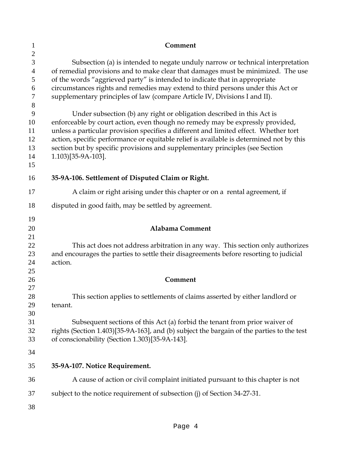| $\mathbf{1}$                                        | Comment                                                                                                                                                                                                                                                                                                                                                                                                                                         |
|-----------------------------------------------------|-------------------------------------------------------------------------------------------------------------------------------------------------------------------------------------------------------------------------------------------------------------------------------------------------------------------------------------------------------------------------------------------------------------------------------------------------|
| $\mathbf{2}$<br>3<br>4<br>5<br>6<br>$\tau$<br>$8\,$ | Subsection (a) is intended to negate unduly narrow or technical interpretation<br>of remedial provisions and to make clear that damages must be minimized. The use<br>of the words "aggrieved party" is intended to indicate that in appropriate<br>circumstances rights and remedies may extend to third persons under this Act or<br>supplementary principles of law (compare Article IV, Divisions I and II).                                |
| 9<br>10<br>11<br>12<br>13<br>14<br>15               | Under subsection (b) any right or obligation described in this Act is<br>enforceable by court action, even though no remedy may be expressly provided,<br>unless a particular provision specifies a different and limited effect. Whether tort<br>action, specific performance or equitable relief is available is determined not by this<br>section but by specific provisions and supplementary principles (see Section<br>1.103)[35-9A-103]. |
| 16                                                  | 35-9A-106. Settlement of Disputed Claim or Right.                                                                                                                                                                                                                                                                                                                                                                                               |
| 17                                                  | A claim or right arising under this chapter or on a rental agreement, if                                                                                                                                                                                                                                                                                                                                                                        |
| 18                                                  | disputed in good faith, may be settled by agreement.                                                                                                                                                                                                                                                                                                                                                                                            |
| 19<br>20<br>21                                      | <b>Alabama Comment</b>                                                                                                                                                                                                                                                                                                                                                                                                                          |
| 22<br>23<br>24                                      | This act does not address arbitration in any way. This section only authorizes<br>and encourages the parties to settle their disagreements before resorting to judicial<br>action.                                                                                                                                                                                                                                                              |
| 25<br>26                                            | Comment                                                                                                                                                                                                                                                                                                                                                                                                                                         |
| 27<br>28<br>29<br>30                                | This section applies to settlements of claims asserted by either landlord or<br>tenant.                                                                                                                                                                                                                                                                                                                                                         |
| 31<br>32<br>33<br>34                                | Subsequent sections of this Act (a) forbid the tenant from prior waiver of<br>rights (Section 1.403)[35-9A-163], and (b) subject the bargain of the parties to the test<br>of conscionability (Section 1.303)[35-9A-143].                                                                                                                                                                                                                       |
| 35                                                  | 35-9A-107. Notice Requirement.                                                                                                                                                                                                                                                                                                                                                                                                                  |
| 36                                                  | A cause of action or civil complaint initiated pursuant to this chapter is not                                                                                                                                                                                                                                                                                                                                                                  |
| 37                                                  | subject to the notice requirement of subsection (j) of Section 34-27-31.                                                                                                                                                                                                                                                                                                                                                                        |
| 38                                                  |                                                                                                                                                                                                                                                                                                                                                                                                                                                 |
|                                                     |                                                                                                                                                                                                                                                                                                                                                                                                                                                 |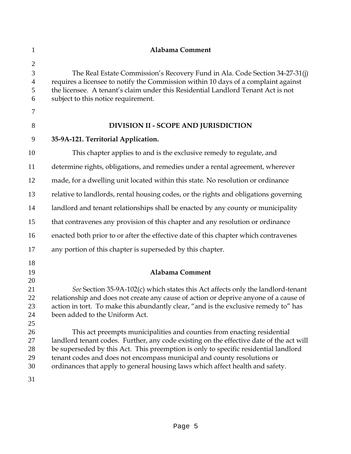| $\mathbf{1}$                                                         | Alabama Comment                                                                                                                                                                                                                                                                                                                                                                                                                                                                                                                                                                                                                                                    |
|----------------------------------------------------------------------|--------------------------------------------------------------------------------------------------------------------------------------------------------------------------------------------------------------------------------------------------------------------------------------------------------------------------------------------------------------------------------------------------------------------------------------------------------------------------------------------------------------------------------------------------------------------------------------------------------------------------------------------------------------------|
| $\mathbf{2}$<br>3<br>$\overline{4}$<br>5<br>6<br>7                   | The Real Estate Commission's Recovery Fund in Ala. Code Section 34-27-31(j)<br>requires a licensee to notify the Commission within 10 days of a complaint against<br>the licensee. A tenant's claim under this Residential Landlord Tenant Act is not<br>subject to this notice requirement.                                                                                                                                                                                                                                                                                                                                                                       |
| 8                                                                    | DIVISION II - SCOPE AND JURISDICTION                                                                                                                                                                                                                                                                                                                                                                                                                                                                                                                                                                                                                               |
| 9                                                                    | 35-9A-121. Territorial Application.                                                                                                                                                                                                                                                                                                                                                                                                                                                                                                                                                                                                                                |
| 10                                                                   | This chapter applies to and is the exclusive remedy to regulate, and                                                                                                                                                                                                                                                                                                                                                                                                                                                                                                                                                                                               |
| 11                                                                   | determine rights, obligations, and remedies under a rental agreement, wherever                                                                                                                                                                                                                                                                                                                                                                                                                                                                                                                                                                                     |
| 12                                                                   | made, for a dwelling unit located within this state. No resolution or ordinance                                                                                                                                                                                                                                                                                                                                                                                                                                                                                                                                                                                    |
| 13                                                                   | relative to landlords, rental housing codes, or the rights and obligations governing                                                                                                                                                                                                                                                                                                                                                                                                                                                                                                                                                                               |
| 14                                                                   | landlord and tenant relationships shall be enacted by any county or municipality                                                                                                                                                                                                                                                                                                                                                                                                                                                                                                                                                                                   |
| 15                                                                   | that contravenes any provision of this chapter and any resolution or ordinance                                                                                                                                                                                                                                                                                                                                                                                                                                                                                                                                                                                     |
| 16                                                                   | enacted both prior to or after the effective date of this chapter which contravenes                                                                                                                                                                                                                                                                                                                                                                                                                                                                                                                                                                                |
| 17                                                                   | any portion of this chapter is superseded by this chapter.                                                                                                                                                                                                                                                                                                                                                                                                                                                                                                                                                                                                         |
| 18<br>19<br>20<br>21<br>22<br>23<br>24<br>25<br>26<br>27<br>28<br>29 | <b>Alabama Comment</b><br>See Section 35-9A-102(c) which states this Act affects only the landlord-tenant<br>relationship and does not create any cause of action or deprive anyone of a cause of<br>action in tort. To make this abundantly clear, "and is the exclusive remedy to" has<br>been added to the Uniform Act.<br>This act preempts municipalities and counties from enacting residential<br>landlord tenant codes. Further, any code existing on the effective date of the act will<br>be superseded by this Act. This preemption is only to specific residential landlord<br>tenant codes and does not encompass municipal and county resolutions or |
| 30<br>31                                                             | ordinances that apply to general housing laws which affect health and safety.                                                                                                                                                                                                                                                                                                                                                                                                                                                                                                                                                                                      |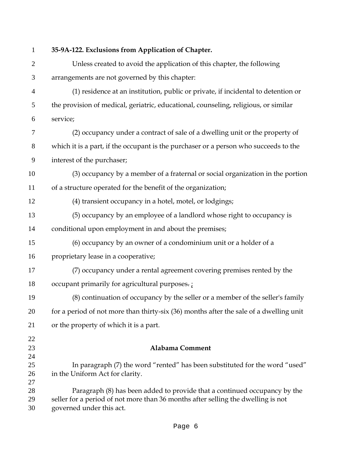| $\mathbf{1}$         | 35-9A-122. Exclusions from Application of Chapter.                                                                                                                                        |
|----------------------|-------------------------------------------------------------------------------------------------------------------------------------------------------------------------------------------|
| $\overline{2}$       | Unless created to avoid the application of this chapter, the following                                                                                                                    |
| 3                    | arrangements are not governed by this chapter:                                                                                                                                            |
| $\overline{4}$       | (1) residence at an institution, public or private, if incidental to detention or                                                                                                         |
| 5                    | the provision of medical, geriatric, educational, counseling, religious, or similar                                                                                                       |
| 6                    | service;                                                                                                                                                                                  |
| 7                    | (2) occupancy under a contract of sale of a dwelling unit or the property of                                                                                                              |
| $8\,$                | which it is a part, if the occupant is the purchaser or a person who succeeds to the                                                                                                      |
| 9                    | interest of the purchaser;                                                                                                                                                                |
| 10                   | (3) occupancy by a member of a fraternal or social organization in the portion                                                                                                            |
| 11                   | of a structure operated for the benefit of the organization;                                                                                                                              |
| 12                   | (4) transient occupancy in a hotel, motel, or lodgings;                                                                                                                                   |
| 13                   | (5) occupancy by an employee of a landlord whose right to occupancy is                                                                                                                    |
| 14                   | conditional upon employment in and about the premises;                                                                                                                                    |
| 15                   | (6) occupancy by an owner of a condominium unit or a holder of a                                                                                                                          |
| 16                   | proprietary lease in a cooperative;                                                                                                                                                       |
| 17                   | (7) occupancy under a rental agreement covering premises rented by the                                                                                                                    |
| 18                   | occupant primarily for agricultural purposes.;                                                                                                                                            |
| 19                   | (8) continuation of occupancy by the seller or a member of the seller's family                                                                                                            |
| 20                   | for a period of not more than thirty-six (36) months after the sale of a dwelling unit                                                                                                    |
| 21                   | or the property of which it is a part.                                                                                                                                                    |
| 22<br>23             | <b>Alabama Comment</b>                                                                                                                                                                    |
| 24<br>25<br>26       | In paragraph (7) the word "rented" has been substituted for the word "used"<br>in the Uniform Act for clarity.                                                                            |
| 27<br>28<br>29<br>30 | Paragraph (8) has been added to provide that a continued occupancy by the<br>seller for a period of not more than 36 months after selling the dwelling is not<br>governed under this act. |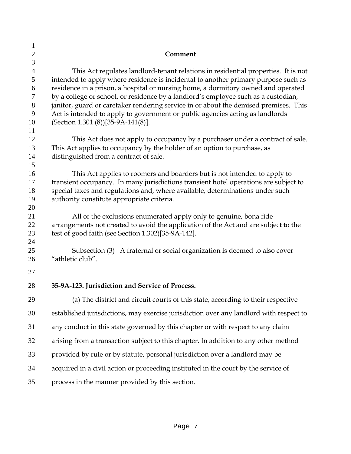| $\mathbf{1}$   |                                                                                                                                                                       |
|----------------|-----------------------------------------------------------------------------------------------------------------------------------------------------------------------|
| $\mathbf{2}$   | Comment                                                                                                                                                               |
| $\mathfrak{Z}$ |                                                                                                                                                                       |
| $\overline{4}$ | This Act regulates landlord-tenant relations in residential properties. It is not                                                                                     |
| 5              | intended to apply where residence is incidental to another primary purpose such as                                                                                    |
| 6              | residence in a prison, a hospital or nursing home, a dormitory owned and operated                                                                                     |
| 7              | by a college or school, or residence by a landlord's employee such as a custodian,                                                                                    |
| $8\,$<br>9     | janitor, guard or caretaker rendering service in or about the demised premises. This<br>Act is intended to apply to government or public agencies acting as landlords |
| 10             | (Section 1.301 (8))[35-9A-141(8)].                                                                                                                                    |
| 11             |                                                                                                                                                                       |
| 12             | This Act does not apply to occupancy by a purchaser under a contract of sale.                                                                                         |
| 13             | This Act applies to occupancy by the holder of an option to purchase, as                                                                                              |
| 14             | distinguished from a contract of sale.                                                                                                                                |
| 15             |                                                                                                                                                                       |
| 16             | This Act applies to roomers and boarders but is not intended to apply to                                                                                              |
| 17             | transient occupancy. In many jurisdictions transient hotel operations are subject to                                                                                  |
| 18<br>19       | special taxes and regulations and, where available, determinations under such<br>authority constitute appropriate criteria.                                           |
| 20             |                                                                                                                                                                       |
| 21             | All of the exclusions enumerated apply only to genuine, bona fide                                                                                                     |
| 22             | arrangements not created to avoid the application of the Act and are subject to the                                                                                   |
| 23             | test of good faith (see Section 1.302)[35-9A-142].                                                                                                                    |
| 24             |                                                                                                                                                                       |
| 25             | Subsection (3) A fraternal or social organization is deemed to also cover                                                                                             |
| 26             | "athletic club".                                                                                                                                                      |
| 27             |                                                                                                                                                                       |
| 28             | 35-9A-123. Jurisdiction and Service of Process.                                                                                                                       |
| 29             | (a) The district and circuit courts of this state, according to their respective                                                                                      |
| 30             | established jurisdictions, may exercise jurisdiction over any landlord with respect to                                                                                |
| 31             | any conduct in this state governed by this chapter or with respect to any claim                                                                                       |
| 32             | arising from a transaction subject to this chapter. In addition to any other method                                                                                   |
| 33             | provided by rule or by statute, personal jurisdiction over a landlord may be                                                                                          |
| 34             | acquired in a civil action or proceeding instituted in the court by the service of                                                                                    |
| 35             | process in the manner provided by this section.                                                                                                                       |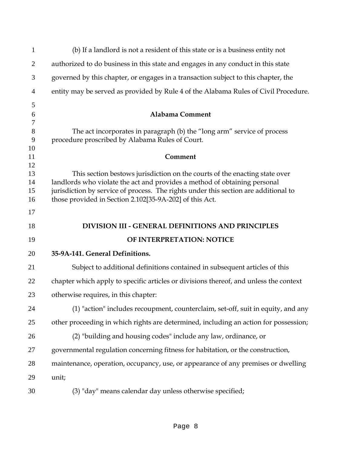| $\mathbf{1}$   | (b) If a landlord is not a resident of this state or is a business entity not         |
|----------------|---------------------------------------------------------------------------------------|
| $\overline{2}$ | authorized to do business in this state and engages in any conduct in this state      |
| 3              | governed by this chapter, or engages in a transaction subject to this chapter, the    |
| 4              | entity may be served as provided by Rule 4 of the Alabama Rules of Civil Procedure.   |
| 5              |                                                                                       |
| 6<br>7         | <b>Alabama Comment</b>                                                                |
| 8              | The act incorporates in paragraph (b) the "long arm" service of process               |
| 9              | procedure proscribed by Alabama Rules of Court.                                       |
| 10             |                                                                                       |
| 11<br>12       | Comment                                                                               |
| 13             | This section bestows jurisdiction on the courts of the enacting state over            |
| 14             | landlords who violate the act and provides a method of obtaining personal             |
| 15             | jurisdiction by service of process. The rights under this section are additional to   |
| 16             | those provided in Section 2.102[35-9A-202] of this Act.                               |
| 17             |                                                                                       |
| 18             | <b>DIVISION III - GENERAL DEFINITIONS AND PRINCIPLES</b>                              |
| 19             | OF INTERPRETATION: NOTICE                                                             |
| 20             | 35-9A-141. General Definitions.                                                       |
| 21             | Subject to additional definitions contained in subsequent articles of this            |
| 22             | chapter which apply to specific articles or divisions thereof, and unless the context |
| 23             | otherwise requires, in this chapter:                                                  |
| 24             | (1) "action" includes recoupment, counterclaim, set-off, suit in equity, and any      |
|                |                                                                                       |
| 25             | other proceeding in which rights are determined, including an action for possession;  |
| 26             | (2) "building and housing codes" include any law, ordinance, or                       |
| 27             | governmental regulation concerning fitness for habitation, or the construction,       |
| 28             | maintenance, operation, occupancy, use, or appearance of any premises or dwelling     |
| 29             | unit;                                                                                 |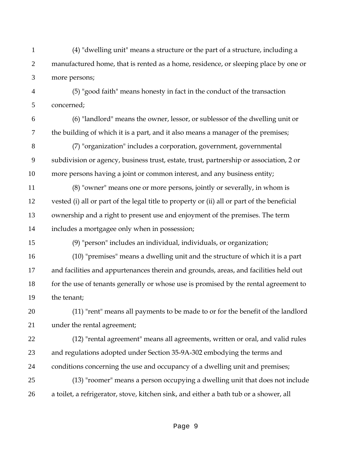- (4) "dwelling unit" means a structure or the part of a structure, including a 2 manufactured home, that is rented as a home, residence, or sleeping place by one or more persons;
- (5) "good faith" means honesty in fact in the conduct of the transaction concerned;
- (6) "landlord" means the owner, lessor, or sublessor of the dwelling unit or the building of which it is a part, and it also means a manager of the premises;
- (7) "organization" includes a corporation, government, governmental subdivision or agency, business trust, estate, trust, partnership or association, 2 or more persons having a joint or common interest, and any business entity;
- (8) "owner" means one or more persons, jointly or severally, in whom is vested (i) all or part of the legal title to property or (ii) all or part of the beneficial ownership and a right to present use and enjoyment of the premises. The term includes a mortgagee only when in possession;
- (9) "person" includes an individual, individuals, or organization;
- (10) "premises" means a dwelling unit and the structure of which it is a part and facilities and appurtenances therein and grounds, areas, and facilities held out 18 for the use of tenants generally or whose use is promised by the rental agreement to the tenant;
- (11) "rent" means all payments to be made to or for the benefit of the landlord under the rental agreement;
- (12) "rental agreement" means all agreements, written or oral, and valid rules and regulations adopted under Section 35-9A-302 embodying the terms and conditions concerning the use and occupancy of a dwelling unit and premises;
- (13) "roomer" means a person occupying a dwelling unit that does not include a toilet, a refrigerator, stove, kitchen sink, and either a bath tub or a shower, all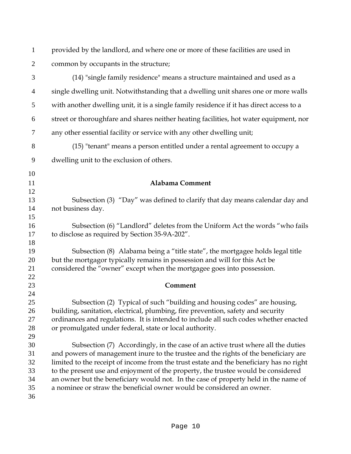| $\mathbf{1}$   | provided by the landlord, and where one or more of these facilities are used in          |
|----------------|------------------------------------------------------------------------------------------|
| $\overline{2}$ | common by occupants in the structure;                                                    |
| 3              | (14) "single family residence" means a structure maintained and used as a                |
| $\overline{4}$ | single dwelling unit. Notwithstanding that a dwelling unit shares one or more walls      |
| 5              | with another dwelling unit, it is a single family residence if it has direct access to a |
| 6              | street or thoroughfare and shares neither heating facilities, hot water equipment, nor   |
| $\overline{7}$ | any other essential facility or service with any other dwelling unit;                    |
| 8              | (15) "tenant" means a person entitled under a rental agreement to occupy a               |
| 9              | dwelling unit to the exclusion of others.                                                |
| 10             |                                                                                          |
| 11             | <b>Alabama Comment</b>                                                                   |
| 12             |                                                                                          |
| 13             | Subsection (3) "Day" was defined to clarify that day means calendar day and              |
| 14             | not business day.                                                                        |
| 15             |                                                                                          |
| 16             | Subsection (6) "Landlord" deletes from the Uniform Act the words "who fails              |
| 17             | to disclose as required by Section 35-9A-202".                                           |
| 18             |                                                                                          |
| 19             | Subsection (8) Alabama being a "title state", the mortgagee holds legal title            |
| 20             | but the mortgagor typically remains in possession and will for this Act be               |
| 21             | considered the "owner" except when the mortgagee goes into possession.                   |
| 22             |                                                                                          |
| 23             | Comment                                                                                  |
| 24             |                                                                                          |
| 25             | Subsection (2) Typical of such "building and housing codes" are housing,                 |
| 26             | building, sanitation, electrical, plumbing, fire prevention, safety and security         |
| 27             | ordinances and regulations. It is intended to include all such codes whether enacted     |
| 28             | or promulgated under federal, state or local authority.                                  |
| 29             |                                                                                          |
|                |                                                                                          |
| 30             | Subsection (7) Accordingly, in the case of an active trust where all the duties          |
| 31             | and powers of management inure to the trustee and the rights of the beneficiary are      |
| 32             | limited to the receipt of income from the trust estate and the beneficiary has no right  |
| 33             | to the present use and enjoyment of the property, the trustee would be considered        |
| 34             | an owner but the beneficiary would not. In the case of property held in the name of      |
| 35             | a nominee or straw the beneficial owner would be considered an owner.                    |
| 36             |                                                                                          |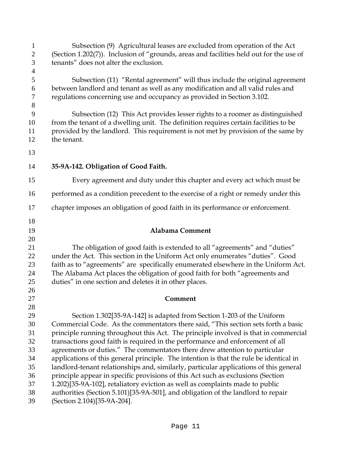| $\mathbf{1}$<br>$\mathbf{2}$<br>3<br>$\overline{4}$ | Subsection (9) Agricultural leases are excluded from operation of the Act<br>(Section 1.202(7)). Inclusion of "grounds, areas and facilities held out for the use of<br>tenants" does not alter the exclusion.                                                           |
|-----------------------------------------------------|--------------------------------------------------------------------------------------------------------------------------------------------------------------------------------------------------------------------------------------------------------------------------|
| 5<br>6<br>$\tau$<br>$8\,$                           | Subsection (11) "Rental agreement" will thus include the original agreement<br>between landlord and tenant as well as any modification and all valid rules and<br>regulations concerning use and occupancy as provided in Section 3.102.                                 |
| 9<br>10<br>11<br>12                                 | Subsection (12) This Act provides lesser rights to a roomer as distinguished<br>from the tenant of a dwelling unit. The definition requires certain facilities to be<br>provided by the landlord. This requirement is not met by provision of the same by<br>the tenant. |
| 13                                                  |                                                                                                                                                                                                                                                                          |
| 14                                                  | 35-9A-142. Obligation of Good Faith.                                                                                                                                                                                                                                     |
| 15                                                  | Every agreement and duty under this chapter and every act which must be                                                                                                                                                                                                  |
| 16                                                  | performed as a condition precedent to the exercise of a right or remedy under this                                                                                                                                                                                       |
| 17                                                  | chapter imposes an obligation of good faith in its performance or enforcement.                                                                                                                                                                                           |
| 18                                                  |                                                                                                                                                                                                                                                                          |
| 19                                                  | <b>Alabama Comment</b>                                                                                                                                                                                                                                                   |
| 20<br>21                                            | The obligation of good faith is extended to all "agreements" and "duties"                                                                                                                                                                                                |
| 22                                                  | under the Act. This section in the Uniform Act only enumerates "duties". Good                                                                                                                                                                                            |
| 23                                                  | faith as to "agreements" are specifically enumerated elsewhere in the Uniform Act.                                                                                                                                                                                       |
|                                                     |                                                                                                                                                                                                                                                                          |
| 24                                                  |                                                                                                                                                                                                                                                                          |
| 25                                                  | The Alabama Act places the obligation of good faith for both "agreements and<br>duties" in one section and deletes it in other places.                                                                                                                                   |
| 26                                                  |                                                                                                                                                                                                                                                                          |
| 27                                                  | Comment                                                                                                                                                                                                                                                                  |
| 28                                                  |                                                                                                                                                                                                                                                                          |
| 29                                                  | Section 1.302[35-9A-142] is adapted from Section 1-203 of the Uniform                                                                                                                                                                                                    |
| 30                                                  | Commercial Code. As the commentators there said, "This section sets forth a basic                                                                                                                                                                                        |
| 31                                                  | principle running throughout this Act. The principle involved is that in commercial                                                                                                                                                                                      |
| 32                                                  | transactions good faith is required in the performance and enforcement of all                                                                                                                                                                                            |
| 33                                                  | agreements or duties." The commentators there drew attention to particular                                                                                                                                                                                               |
| 34                                                  | applications of this general principle. The intention is that the rule be identical in                                                                                                                                                                                   |
| 35                                                  | landlord-tenant relationships and, similarly, particular applications of this general                                                                                                                                                                                    |
| 36<br>37                                            | principle appear in specific provisions of this Act such as exclusions (Section                                                                                                                                                                                          |
| 38                                                  | 1.202)[35-9A-102], retaliatory eviction as well as complaints made to public<br>authorities (Section 5.101)[35-9A-501], and obligation of the landlord to repair                                                                                                         |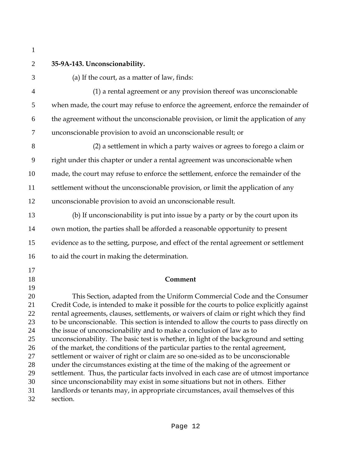# **35-9A-143. Unconscionability.**

(a) If the court, as a matter of law, finds:

(1) a rental agreement or any provision thereof was unconscionable when made, the court may refuse to enforce the agreement, enforce the remainder of the agreement without the unconscionable provision, or limit the application of any unconscionable provision to avoid an unconscionable result; or

(2) a settlement in which a party waives or agrees to forego a claim or right under this chapter or under a rental agreement was unconscionable when made, the court may refuse to enforce the settlement, enforce the remainder of the settlement without the unconscionable provision, or limit the application of any unconscionable provision to avoid an unconscionable result.

- (b) If unconscionability is put into issue by a party or by the court upon its own motion, the parties shall be afforded a reasonable opportunity to present evidence as to the setting, purpose, and effect of the rental agreement or settlement to aid the court in making the determination.
- 

# **Comment**

This Section, adapted from the Uniform Commercial Code and the Consumer Credit Code, is intended to make it possible for the courts to police explicitly against rental agreements, clauses, settlements, or waivers of claim or right which they find to be unconscionable. This section is intended to allow the courts to pass directly on the issue of unconscionability and to make a conclusion of law as to unconscionability. The basic test is whether, in light of the background and setting 26 of the market, the conditions of the particular parties to the rental agreement, settlement or waiver of right or claim are so one-sided as to be unconscionable under the circumstances existing at the time of the making of the agreement or settlement. Thus, the particular facts involved in each case are of utmost importance since unconscionability may exist in some situations but not in others. Either landlords or tenants may, in appropriate circumstances, avail themselves of this section.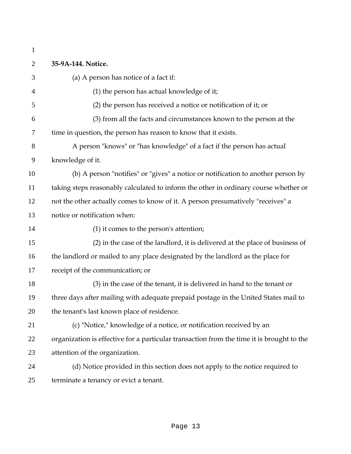| $\mathbf{1}$   |                                                                                           |
|----------------|-------------------------------------------------------------------------------------------|
| $\overline{2}$ | 35-9A-144. Notice.                                                                        |
| 3              | (a) A person has notice of a fact if:                                                     |
| 4              | (1) the person has actual knowledge of it;                                                |
| 5              | (2) the person has received a notice or notification of it; or                            |
| 6              | (3) from all the facts and circumstances known to the person at the                       |
| 7              | time in question, the person has reason to know that it exists.                           |
| 8              | A person "knows" or "has knowledge" of a fact if the person has actual                    |
| 9              | knowledge of it.                                                                          |
| 10             | (b) A person "notifies" or "gives" a notice or notification to another person by          |
| 11             | taking steps reasonably calculated to inform the other in ordinary course whether or      |
| 12             | not the other actually comes to know of it. A person presumatively "receives" a           |
| 13             | notice or notification when:                                                              |
| 14             | (1) it comes to the person's attention;                                                   |
| 15             | (2) in the case of the landlord, it is delivered at the place of business of              |
| 16             | the landlord or mailed to any place designated by the landlord as the place for           |
| 17             | receipt of the communication; or                                                          |
| 18             | (3) in the case of the tenant, it is delivered in hand to the tenant or                   |
| 19             | three days after mailing with adequate prepaid postage in the United States mail to       |
| 20             | the tenant's last known place of residence.                                               |
| 21             | (c) "Notice," knowledge of a notice, or notification received by an                       |
| 22             | organization is effective for a particular transaction from the time it is brought to the |
| 23             | attention of the organization.                                                            |
| 24             | (d) Notice provided in this section does not apply to the notice required to              |
| 25             | terminate a tenancy or evict a tenant.                                                    |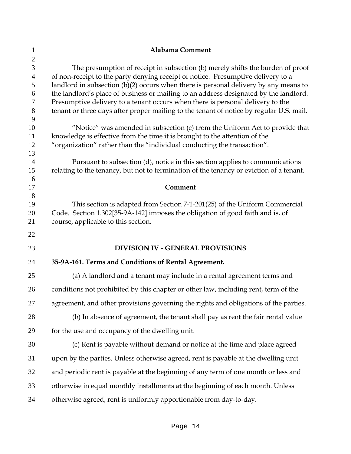| 1                                                                       | <b>Alabama Comment</b>                                                                                                                                                                                                                                                                                                                                                                                                                                                                                                             |
|-------------------------------------------------------------------------|------------------------------------------------------------------------------------------------------------------------------------------------------------------------------------------------------------------------------------------------------------------------------------------------------------------------------------------------------------------------------------------------------------------------------------------------------------------------------------------------------------------------------------|
| $\overline{2}$<br>3<br>$\overline{4}$<br>5<br>6<br>$\tau$<br>$8\,$<br>9 | The presumption of receipt in subsection (b) merely shifts the burden of proof<br>of non-receipt to the party denying receipt of notice. Presumptive delivery to a<br>landlord in subsection $(b)(2)$ occurs when there is personal delivery by any means to<br>the landlord's place of business or mailing to an address designated by the landlord.<br>Presumptive delivery to a tenant occurs when there is personal delivery to the<br>tenant or three days after proper mailing to the tenant of notice by regular U.S. mail. |
| 10<br>11<br>12<br>13                                                    | "Notice" was amended in subsection (c) from the Uniform Act to provide that<br>knowledge is effective from the time it is brought to the attention of the<br>"organization" rather than the "individual conducting the transaction".                                                                                                                                                                                                                                                                                               |
| 14<br>15<br>16                                                          | Pursuant to subsection (d), notice in this section applies to communications<br>relating to the tenancy, but not to termination of the tenancy or eviction of a tenant.                                                                                                                                                                                                                                                                                                                                                            |
| 17                                                                      | Comment                                                                                                                                                                                                                                                                                                                                                                                                                                                                                                                            |
| 18<br>19<br>20<br>21                                                    | This section is adapted from Section 7-1-201(25) of the Uniform Commercial<br>Code. Section 1.302[35-9A-142] imposes the obligation of good faith and is, of<br>course, applicable to this section.                                                                                                                                                                                                                                                                                                                                |
| 22                                                                      |                                                                                                                                                                                                                                                                                                                                                                                                                                                                                                                                    |
| 23                                                                      | <b>DIVISION IV - GENERAL PROVISIONS</b>                                                                                                                                                                                                                                                                                                                                                                                                                                                                                            |
| 24                                                                      | 35-9A-161. Terms and Conditions of Rental Agreement.                                                                                                                                                                                                                                                                                                                                                                                                                                                                               |
| 25                                                                      | (a) A landlord and a tenant may include in a rental agreement terms and                                                                                                                                                                                                                                                                                                                                                                                                                                                            |
| 26                                                                      | conditions not prohibited by this chapter or other law, including rent, term of the                                                                                                                                                                                                                                                                                                                                                                                                                                                |
| 27                                                                      | agreement, and other provisions governing the rights and obligations of the parties.                                                                                                                                                                                                                                                                                                                                                                                                                                               |
| 28                                                                      | (b) In absence of agreement, the tenant shall pay as rent the fair rental value                                                                                                                                                                                                                                                                                                                                                                                                                                                    |
| 29                                                                      | for the use and occupancy of the dwelling unit.                                                                                                                                                                                                                                                                                                                                                                                                                                                                                    |
| 30                                                                      | (c) Rent is payable without demand or notice at the time and place agreed                                                                                                                                                                                                                                                                                                                                                                                                                                                          |
| 31                                                                      | upon by the parties. Unless otherwise agreed, rent is payable at the dwelling unit                                                                                                                                                                                                                                                                                                                                                                                                                                                 |
| 32                                                                      | and periodic rent is payable at the beginning of any term of one month or less and                                                                                                                                                                                                                                                                                                                                                                                                                                                 |
| 33                                                                      | otherwise in equal monthly installments at the beginning of each month. Unless                                                                                                                                                                                                                                                                                                                                                                                                                                                     |
| 34                                                                      | otherwise agreed, rent is uniformly apportionable from day-to-day.                                                                                                                                                                                                                                                                                                                                                                                                                                                                 |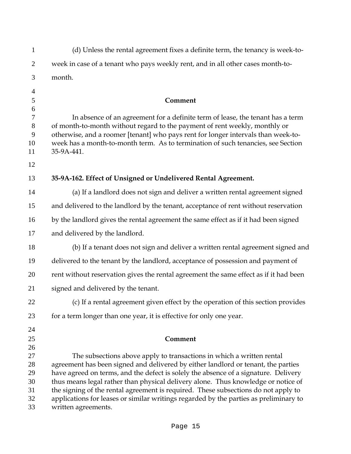| $\mathbf{1}$     | (d) Unless the rental agreement fixes a definite term, the tenancy is week-to-                                                                               |
|------------------|--------------------------------------------------------------------------------------------------------------------------------------------------------------|
| $\overline{2}$   | week in case of a tenant who pays weekly rent, and in all other cases month-to-                                                                              |
| 3                | month.                                                                                                                                                       |
| $\overline{4}$   |                                                                                                                                                              |
| $\mathfrak{S}$   | Comment                                                                                                                                                      |
| $\boldsymbol{6}$ |                                                                                                                                                              |
| 7<br>8           | In absence of an agreement for a definite term of lease, the tenant has a term<br>of month-to-month without regard to the payment of rent weekly, monthly or |
| 9                | otherwise, and a roomer [tenant] who pays rent for longer intervals than week-to-                                                                            |
| 10               | week has a month-to-month term. As to termination of such tenancies, see Section                                                                             |
| 11               | 35-9A-441.                                                                                                                                                   |
| 12               |                                                                                                                                                              |
| 13               | 35-9A-162. Effect of Unsigned or Undelivered Rental Agreement.                                                                                               |
| 14               | (a) If a landlord does not sign and deliver a written rental agreement signed                                                                                |
| 15               | and delivered to the landlord by the tenant, acceptance of rent without reservation                                                                          |
| 16               | by the landlord gives the rental agreement the same effect as if it had been signed                                                                          |
| 17               | and delivered by the landlord.                                                                                                                               |
| 18               | (b) If a tenant does not sign and deliver a written rental agreement signed and                                                                              |
| 19               | delivered to the tenant by the landlord, acceptance of possession and payment of                                                                             |
| 20               | rent without reservation gives the rental agreement the same effect as if it had been                                                                        |
| 21               | signed and delivered by the tenant.                                                                                                                          |
| 22               | (c) If a rental agreement given effect by the operation of this section provides                                                                             |
| 23               | for a term longer than one year, it is effective for only one year.                                                                                          |
| 24               |                                                                                                                                                              |
| 25               | Comment                                                                                                                                                      |
| 26               |                                                                                                                                                              |
| 27<br>28         | The subsections above apply to transactions in which a written rental<br>agreement has been signed and delivered by either landlord or tenant, the parties   |
| 29               | have agreed on terms, and the defect is solely the absence of a signature. Delivery                                                                          |
| 30               | thus means legal rather than physical delivery alone. Thus knowledge or notice of                                                                            |
| 31               | the signing of the rental agreement is required. These subsections do not apply to                                                                           |
| 32<br>33         | applications for leases or similar writings regarded by the parties as preliminary to<br>written agreements.                                                 |
|                  |                                                                                                                                                              |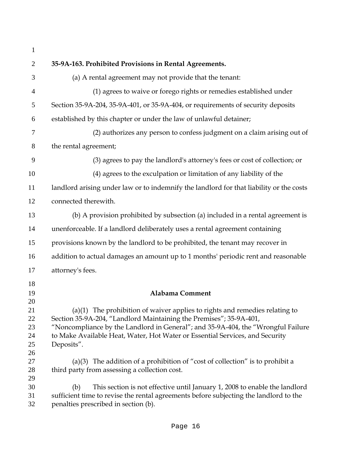| $\mathbf{1}$                     |                                                                                                                                                                                                                                                                                                                                       |
|----------------------------------|---------------------------------------------------------------------------------------------------------------------------------------------------------------------------------------------------------------------------------------------------------------------------------------------------------------------------------------|
| $\overline{2}$                   | 35-9A-163. Prohibited Provisions in Rental Agreements.                                                                                                                                                                                                                                                                                |
| 3                                | (a) A rental agreement may not provide that the tenant:                                                                                                                                                                                                                                                                               |
| $\overline{4}$                   | (1) agrees to waive or forego rights or remedies established under                                                                                                                                                                                                                                                                    |
| 5                                | Section 35-9A-204, 35-9A-401, or 35-9A-404, or requirements of security deposits                                                                                                                                                                                                                                                      |
| 6                                | established by this chapter or under the law of unlawful detainer;                                                                                                                                                                                                                                                                    |
| 7                                | (2) authorizes any person to confess judgment on a claim arising out of                                                                                                                                                                                                                                                               |
| 8                                | the rental agreement;                                                                                                                                                                                                                                                                                                                 |
| 9                                | (3) agrees to pay the landlord's attorney's fees or cost of collection; or                                                                                                                                                                                                                                                            |
| 10                               | (4) agrees to the exculpation or limitation of any liability of the                                                                                                                                                                                                                                                                   |
| 11                               | landlord arising under law or to indemnify the landlord for that liability or the costs                                                                                                                                                                                                                                               |
| 12                               | connected therewith.                                                                                                                                                                                                                                                                                                                  |
| 13                               | (b) A provision prohibited by subsection (a) included in a rental agreement is                                                                                                                                                                                                                                                        |
| 14                               | unenforceable. If a landlord deliberately uses a rental agreement containing                                                                                                                                                                                                                                                          |
| 15                               | provisions known by the landlord to be prohibited, the tenant may recover in                                                                                                                                                                                                                                                          |
| 16                               | addition to actual damages an amount up to 1 months' periodic rent and reasonable                                                                                                                                                                                                                                                     |
| 17                               | attorney's fees.                                                                                                                                                                                                                                                                                                                      |
| 18                               |                                                                                                                                                                                                                                                                                                                                       |
| 19<br>20                         | <b>Alabama Comment</b>                                                                                                                                                                                                                                                                                                                |
| 21<br>22<br>23<br>24<br>25<br>26 | $(a)(1)$ The prohibition of waiver applies to rights and remedies relating to<br>Section 35-9A-204, "Landlord Maintaining the Premises"; 35-9A-401,<br>"Noncompliance by the Landlord in General"; and 35-9A-404, the "Wrongful Failure<br>to Make Available Heat, Water, Hot Water or Essential Services, and Security<br>Deposits". |
| 27<br>28<br>29                   | (a)(3) The addition of a prohibition of "cost of collection" is to prohibit a<br>third party from assessing a collection cost.                                                                                                                                                                                                        |
| 30<br>31<br>32                   | This section is not effective until January 1, 2008 to enable the landlord<br>(b)<br>sufficient time to revise the rental agreements before subjecting the landlord to the<br>penalties prescribed in section (b).                                                                                                                    |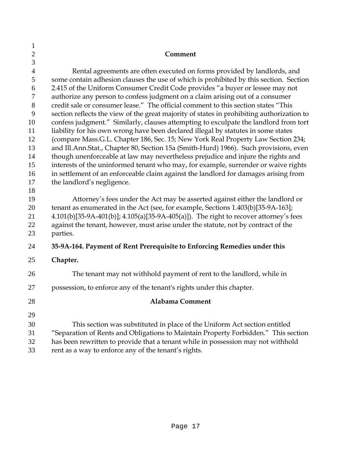| $\mathbf{1}$   |                                                                                                                                                                        |
|----------------|------------------------------------------------------------------------------------------------------------------------------------------------------------------------|
| $\mathbf{2}$   | Comment                                                                                                                                                                |
| 3              |                                                                                                                                                                        |
| $\overline{4}$ | Rental agreements are often executed on forms provided by landlords, and                                                                                               |
| 5              | some contain adhesion clauses the use of which is prohibited by this section. Section                                                                                  |
| 6              | 2.415 of the Uniform Consumer Credit Code provides "a buyer or lessee may not                                                                                          |
| 7              | authorize any person to confess judgment on a claim arising out of a consumer                                                                                          |
| 8              | credit sale or consumer lease." The official comment to this section states "This                                                                                      |
| 9              | section reflects the view of the great majority of states in prohibiting authorization to                                                                              |
| 10             | confess judgment." Similarly, clauses attempting to exculpate the landlord from tort                                                                                   |
| 11             | liability for his own wrong have been declared illegal by statutes in some states                                                                                      |
| 12             | (compare Mass.G.L. Chapter 186, Sec. 15; New York Real Property Law Section 234;                                                                                       |
| 13             | and Ill.Ann.Stat., Chapter 80, Section 15a (Smith-Hurd) 1966). Such provisions, even                                                                                   |
| 14<br>15       | though unenforceable at law may nevertheless prejudice and injure the rights and<br>interests of the uninformed tenant who may, for example, surrender or waive rights |
| 16             | in settlement of an enforceable claim against the landlord for damages arising from                                                                                    |
| 17             | the landlord's negligence.                                                                                                                                             |
| 18             |                                                                                                                                                                        |
| 19             | Attorney's fees under the Act may be asserted against either the landlord or                                                                                           |
| 20             | tenant as enumerated in the Act (see, for example, Sections 1.403(b)[35-9A-163];                                                                                       |
| 21             | 4.101(b)[35-9A-401(b)]; 4.105(a)[35-9A-405(a)]). The right to recover attorney's fees                                                                                  |
| 22             | against the tenant, however, must arise under the statute, not by contract of the                                                                                      |
| 23             | parties.                                                                                                                                                               |
| 24             | 35-9A-164. Payment of Rent Prerequisite to Enforcing Remedies under this                                                                                               |
| 25             | Chapter.                                                                                                                                                               |
| 26             | The tenant may not withhold payment of rent to the landlord, while in                                                                                                  |
| 27             | possession, to enforce any of the tenant's rights under this chapter.                                                                                                  |
| 28             | Alabama Comment                                                                                                                                                        |
| 29             |                                                                                                                                                                        |
| 30             | This section was substituted in place of the Uniform Act section entitled                                                                                              |
| 31             | "Separation of Rents and Obligations to Maintain Property Forbidden." This section                                                                                     |
| 32             | has been rewritten to provide that a tenant while in possession may not withhold                                                                                       |
| 33             | rent as a way to enforce any of the tenant's rights.                                                                                                                   |
|                |                                                                                                                                                                        |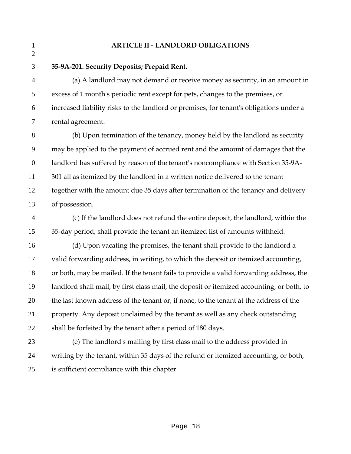#### **ARTICLE II - LANDLORD OBLIGATIONS**

 $\overline{2}$ 

**35-9A-201. Security Deposits; Prepaid Rent.** 

(a) A landlord may not demand or receive money as security, in an amount in excess of 1 month's periodic rent except for pets, changes to the premises, or increased liability risks to the landlord or premises, for tenant's obligations under a rental agreement.

(b) Upon termination of the tenancy, money held by the landlord as security may be applied to the payment of accrued rent and the amount of damages that the landlord has suffered by reason of the tenant's noncompliance with Section 35-9A-301 all as itemized by the landlord in a written notice delivered to the tenant together with the amount due 35 days after termination of the tenancy and delivery of possession.

(c) If the landlord does not refund the entire deposit, the landlord, within the 35-day period, shall provide the tenant an itemized list of amounts withheld.

(d) Upon vacating the premises, the tenant shall provide to the landlord a valid forwarding address, in writing, to which the deposit or itemized accounting, or both, may be mailed. If the tenant fails to provide a valid forwarding address, the landlord shall mail, by first class mail, the deposit or itemized accounting, or both, to the last known address of the tenant or, if none, to the tenant at the address of the property. Any deposit unclaimed by the tenant as well as any check outstanding shall be forfeited by the tenant after a period of 180 days.

(e) The landlord's mailing by first class mail to the address provided in writing by the tenant, within 35 days of the refund or itemized accounting, or both, is sufficient compliance with this chapter.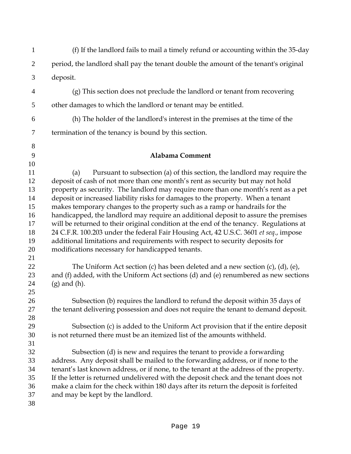| $\mathbf{1}$                                             | (f) If the landlord fails to mail a timely refund or accounting within the 35-day                                                                                                                                                                                                                                                                                                                                                                                                                                                                                                                                                                                                                                                                                                                                                      |
|----------------------------------------------------------|----------------------------------------------------------------------------------------------------------------------------------------------------------------------------------------------------------------------------------------------------------------------------------------------------------------------------------------------------------------------------------------------------------------------------------------------------------------------------------------------------------------------------------------------------------------------------------------------------------------------------------------------------------------------------------------------------------------------------------------------------------------------------------------------------------------------------------------|
| 2                                                        | period, the landlord shall pay the tenant double the amount of the tenant's original                                                                                                                                                                                                                                                                                                                                                                                                                                                                                                                                                                                                                                                                                                                                                   |
| 3                                                        | deposit.                                                                                                                                                                                                                                                                                                                                                                                                                                                                                                                                                                                                                                                                                                                                                                                                                               |
| $\overline{4}$                                           | (g) This section does not preclude the landlord or tenant from recovering                                                                                                                                                                                                                                                                                                                                                                                                                                                                                                                                                                                                                                                                                                                                                              |
| 5                                                        | other damages to which the landlord or tenant may be entitled.                                                                                                                                                                                                                                                                                                                                                                                                                                                                                                                                                                                                                                                                                                                                                                         |
| 6                                                        | (h) The holder of the landlord's interest in the premises at the time of the                                                                                                                                                                                                                                                                                                                                                                                                                                                                                                                                                                                                                                                                                                                                                           |
| $\overline{7}$                                           | termination of the tenancy is bound by this section.                                                                                                                                                                                                                                                                                                                                                                                                                                                                                                                                                                                                                                                                                                                                                                                   |
| $8\,$<br>9<br>10                                         | <b>Alabama Comment</b>                                                                                                                                                                                                                                                                                                                                                                                                                                                                                                                                                                                                                                                                                                                                                                                                                 |
| 11<br>12<br>13<br>14<br>15<br>16<br>17<br>18<br>19<br>20 | Pursuant to subsection (a) of this section, the landlord may require the<br>(a)<br>deposit of cash of not more than one month's rent as security but may not hold<br>property as security. The landlord may require more than one month's rent as a pet<br>deposit or increased liability risks for damages to the property. When a tenant<br>makes temporary changes to the property such as a ramp or handrails for the<br>handicapped, the landlord may require an additional deposit to assure the premises<br>will be returned to their original condition at the end of the tenancy. Regulations at<br>24 C.F.R. 100.203 under the federal Fair Housing Act, 42 U.S.C. 3601 et seq., impose<br>additional limitations and requirements with respect to security deposits for<br>modifications necessary for handicapped tenants. |
| 21<br>22<br>23<br>24<br>25                               | The Uniform Act section (c) has been deleted and a new section (c), (d), (e),<br>and (f) added, with the Uniform Act sections (d) and (e) renumbered as new sections<br>$(g)$ and $(h)$ .                                                                                                                                                                                                                                                                                                                                                                                                                                                                                                                                                                                                                                              |
| 26<br>27<br>28                                           | Subsection (b) requires the landlord to refund the deposit within 35 days of<br>the tenant delivering possession and does not require the tenant to demand deposit.                                                                                                                                                                                                                                                                                                                                                                                                                                                                                                                                                                                                                                                                    |
| 29<br>30<br>31                                           | Subsection (c) is added to the Uniform Act provision that if the entire deposit<br>is not returned there must be an itemized list of the amounts withheld.                                                                                                                                                                                                                                                                                                                                                                                                                                                                                                                                                                                                                                                                             |
| 32<br>33<br>34<br>35<br>36<br>37<br>38                   | Subsection (d) is new and requires the tenant to provide a forwarding<br>address. Any deposit shall be mailed to the forwarding address, or if none to the<br>tenant's last known address, or if none, to the tenant at the address of the property.<br>If the letter is returned undelivered with the deposit check and the tenant does not<br>make a claim for the check within 180 days after its return the deposit is forfeited<br>and may be kept by the landlord.                                                                                                                                                                                                                                                                                                                                                               |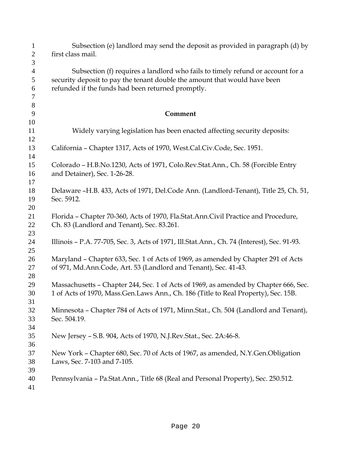| $\mathbf{1}$   | Subsection (e) landlord may send the deposit as provided in paragraph (d) by                |
|----------------|---------------------------------------------------------------------------------------------|
| $\mathbf{2}$   | first class mail.                                                                           |
| 3              |                                                                                             |
| $\overline{4}$ | Subsection (f) requires a landlord who fails to timely refund or account for a              |
| 5              | security deposit to pay the tenant double the amount that would have been                   |
| 6<br>7         | refunded if the funds had been returned promptly.                                           |
| 8              |                                                                                             |
| 9              | Comment                                                                                     |
| 10             |                                                                                             |
| 11<br>12       | Widely varying legislation has been enacted affecting security deposits:                    |
| 13             | California - Chapter 1317, Acts of 1970, West.Cal.Civ.Code, Sec. 1951.                      |
| 14             | Colorado - H.B.No.1230, Acts of 1971, Colo.Rev.Stat.Ann., Ch. 58 (Forcible Entry            |
| 15<br>16       | and Detainer), Sec. 1-26-28.                                                                |
| 17             |                                                                                             |
| 18             | Delaware -H.B. 433, Acts of 1971, Del.Code Ann. (Landlord-Tenant), Title 25, Ch. 51,        |
| 19             | Sec. 5912.                                                                                  |
| 20             |                                                                                             |
| 21             | Florida - Chapter 70-360, Acts of 1970, Fla.Stat.Ann.Civil Practice and Procedure,          |
| 22             | Ch. 83 (Landlord and Tenant), Sec. 83.261.                                                  |
| 23             |                                                                                             |
| 24             | Illinois - P.A. 77-705, Sec. 3, Acts of 1971, Ill.Stat.Ann., Ch. 74 (Interest), Sec. 91-93. |
| 25<br>26       | Maryland - Chapter 633, Sec. 1 of Acts of 1969, as amended by Chapter 291 of Acts           |
| 27             | of 971, Md.Ann.Code, Art. 53 (Landlord and Tenant), Sec. 41-43.                             |
| 28             |                                                                                             |
| 29             | Massachusetts - Chapter 244, Sec. 1 of Acts of 1969, as amended by Chapter 666, Sec.        |
| 30             | 1 of Acts of 1970, Mass.Gen.Laws Ann., Ch. 186 (Title to Real Property), Sec. 15B.          |
| 31             |                                                                                             |
| 32             | Minnesota - Chapter 784 of Acts of 1971, Minn.Stat., Ch. 504 (Landlord and Tenant),         |
| 33             | Sec. 504.19.                                                                                |
| 34             |                                                                                             |
| 35             | New Jersey - S.B. 904, Acts of 1970, N.J.Rev.Stat., Sec. 2A:46-8.                           |
| 36<br>37       | New York - Chapter 680, Sec. 70 of Acts of 1967, as amended, N.Y.Gen.Obligation             |
| 38             | Laws, Sec. 7-103 and 7-105.                                                                 |
| 39             |                                                                                             |
| 40             | Pennsylvania - Pa.Stat.Ann., Title 68 (Real and Personal Property), Sec. 250.512.           |
| 41             |                                                                                             |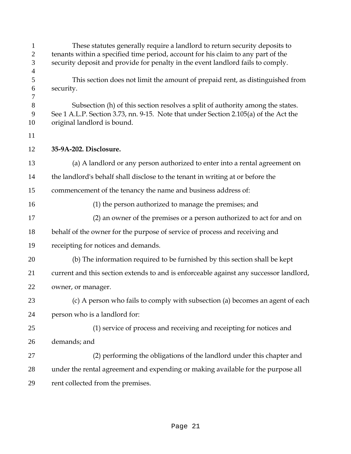| $\mathbf{1}$<br>$\overline{2}$<br>3<br>$\overline{4}$ | These statutes generally require a landlord to return security deposits to<br>tenants within a specified time period, account for his claim to any part of the<br>security deposit and provide for penalty in the event landlord fails to comply. |
|-------------------------------------------------------|---------------------------------------------------------------------------------------------------------------------------------------------------------------------------------------------------------------------------------------------------|
| 5<br>6<br>7                                           | This section does not limit the amount of prepaid rent, as distinguished from<br>security.                                                                                                                                                        |
| $8\,$<br>9<br>10                                      | Subsection (h) of this section resolves a split of authority among the states.<br>See 1 A.L.P. Section 3.73, nn. 9-15. Note that under Section 2.105(a) of the Act the<br>original landlord is bound.                                             |
| 11                                                    |                                                                                                                                                                                                                                                   |
| 12                                                    | 35-9A-202. Disclosure.                                                                                                                                                                                                                            |
| 13                                                    | (a) A landlord or any person authorized to enter into a rental agreement on                                                                                                                                                                       |
| 14                                                    | the landlord's behalf shall disclose to the tenant in writing at or before the                                                                                                                                                                    |
| 15                                                    | commencement of the tenancy the name and business address of:                                                                                                                                                                                     |
| 16                                                    | (1) the person authorized to manage the premises; and                                                                                                                                                                                             |
| 17                                                    | (2) an owner of the premises or a person authorized to act for and on                                                                                                                                                                             |
| 18                                                    | behalf of the owner for the purpose of service of process and receiving and                                                                                                                                                                       |
| 19                                                    | receipting for notices and demands.                                                                                                                                                                                                               |
| 20                                                    | (b) The information required to be furnished by this section shall be kept                                                                                                                                                                        |
| 21                                                    | current and this section extends to and is enforceable against any successor landlord,                                                                                                                                                            |
| 22                                                    | owner, or manager.                                                                                                                                                                                                                                |
| 23                                                    | (c) A person who fails to comply with subsection (a) becomes an agent of each                                                                                                                                                                     |
| 24                                                    | person who is a landlord for:                                                                                                                                                                                                                     |
| 25                                                    | (1) service of process and receiving and receipting for notices and                                                                                                                                                                               |
| 26                                                    | demands; and                                                                                                                                                                                                                                      |
| 27                                                    | (2) performing the obligations of the landlord under this chapter and                                                                                                                                                                             |
| 28                                                    | under the rental agreement and expending or making available for the purpose all                                                                                                                                                                  |
| 29                                                    | rent collected from the premises.                                                                                                                                                                                                                 |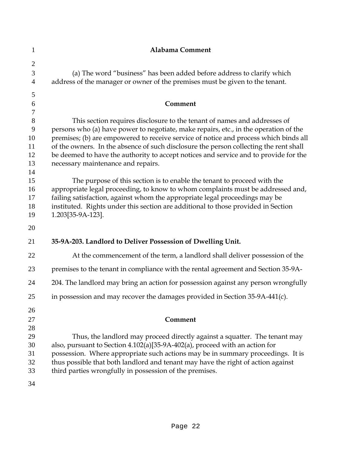| $\mathbf{1}$        | Alabama Comment                                                                                                                                           |
|---------------------|-----------------------------------------------------------------------------------------------------------------------------------------------------------|
| $\overline{2}$      |                                                                                                                                                           |
| 3<br>$\overline{4}$ | (a) The word "business" has been added before address to clarify which<br>address of the manager or owner of the premises must be given to the tenant.    |
| 5                   |                                                                                                                                                           |
| 6                   | Comment                                                                                                                                                   |
| $\tau$<br>$8\,$     | This section requires disclosure to the tenant of names and addresses of                                                                                  |
| 9                   | persons who (a) have power to negotiate, make repairs, etc., in the operation of the                                                                      |
| 10                  | premises; (b) are empowered to receive service of notice and process which binds all                                                                      |
| 11                  | of the owners. In the absence of such disclosure the person collecting the rent shall                                                                     |
| 12                  | be deemed to have the authority to accept notices and service and to provide for the                                                                      |
| 13<br>14            | necessary maintenance and repairs.                                                                                                                        |
| 15                  | The purpose of this section is to enable the tenant to proceed with the                                                                                   |
| 16                  | appropriate legal proceeding, to know to whom complaints must be addressed and,                                                                           |
| 17                  | failing satisfaction, against whom the appropriate legal proceedings may be                                                                               |
| 18                  | instituted. Rights under this section are additional to those provided in Section                                                                         |
| 19                  | 1.203[35-9A-123].                                                                                                                                         |
| 20                  |                                                                                                                                                           |
| 21                  | 35-9A-203. Landlord to Deliver Possession of Dwelling Unit.                                                                                               |
| 22                  | At the commencement of the term, a landlord shall deliver possession of the                                                                               |
| 23                  | premises to the tenant in compliance with the rental agreement and Section 35-9A-                                                                         |
| 24                  | 204. The landlord may bring an action for possession against any person wrongfully                                                                        |
| 25                  | in possession and may recover the damages provided in Section 35-9A-441(c).                                                                               |
| 26                  |                                                                                                                                                           |
| 27                  | Comment                                                                                                                                                   |
| 28                  |                                                                                                                                                           |
| 29<br>30            | Thus, the landlord may proceed directly against a squatter. The tenant may<br>also, pursuant to Section 4.102(a)[35-9A-402(a), proceed with an action for |
| 31                  | possession. Where appropriate such actions may be in summary proceedings. It is                                                                           |
| 32                  | thus possible that both landlord and tenant may have the right of action against                                                                          |
| 33                  | third parties wrongfully in possession of the premises.                                                                                                   |
| 34                  |                                                                                                                                                           |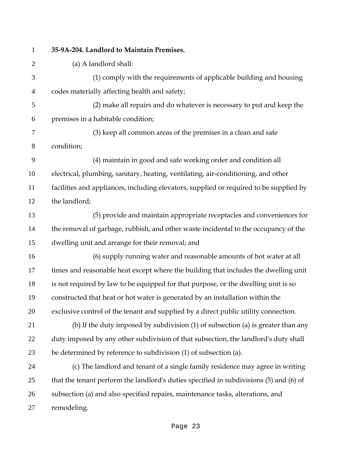#### **35-9A-204. Landlord to Maintain Premises.**

(a) A landlord shall:

(1) comply with the requirements of applicable building and housing codes materially affecting health and safety;

(2) make all repairs and do whatever is necessary to put and keep the premises in a habitable condition;

(3) keep all common areas of the premises in a clean and safe condition;

(4) maintain in good and safe working order and condition all electrical, plumbing, sanitary, heating, ventilating, air-conditioning, and other facilities and appliances, including elevators, supplied or required to be supplied by the landlord;

(5) provide and maintain appropriate receptacles and conveniences for the removal of garbage, rubbish, and other waste incidental to the occupancy of the dwelling unit and arrange for their removal; and

(6) supply running water and reasonable amounts of hot water at all times and reasonable heat except where the building that includes the dwelling unit is not required by law to be equipped for that purpose, or the dwelling unit is so constructed that heat or hot water is generated by an installation within the exclusive control of the tenant and supplied by a direct public utility connection.

(b) If the duty imposed by subdivision (1) of subsection (a) is greater than any duty imposed by any other subdivision of that subsection, the landlord's duty shall be determined by reference to subdivision (1) of subsection (a).

(c) The landlord and tenant of a single family residence may agree in writing that the tenant perform the landlord's duties specified in subdivisions (5) and (6) of subsection (a) and also specified repairs, maintenance tasks, alterations, and remodeling.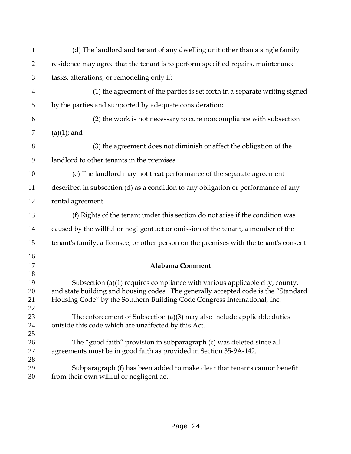| $\mathbf{1}$         | (d) The landlord and tenant of any dwelling unit other than a single family                                                                                                                                                                   |
|----------------------|-----------------------------------------------------------------------------------------------------------------------------------------------------------------------------------------------------------------------------------------------|
| $\overline{2}$       | residence may agree that the tenant is to perform specified repairs, maintenance                                                                                                                                                              |
| 3                    | tasks, alterations, or remodeling only if:                                                                                                                                                                                                    |
| $\overline{4}$       | (1) the agreement of the parties is set forth in a separate writing signed                                                                                                                                                                    |
| 5                    | by the parties and supported by adequate consideration;                                                                                                                                                                                       |
| 6                    | (2) the work is not necessary to cure noncompliance with subsection                                                                                                                                                                           |
| 7                    | $(a)(1)$ ; and                                                                                                                                                                                                                                |
| $8\,$                | (3) the agreement does not diminish or affect the obligation of the                                                                                                                                                                           |
| 9                    | landlord to other tenants in the premises.                                                                                                                                                                                                    |
| 10                   | (e) The landlord may not treat performance of the separate agreement                                                                                                                                                                          |
| 11                   | described in subsection (d) as a condition to any obligation or performance of any                                                                                                                                                            |
| 12                   | rental agreement.                                                                                                                                                                                                                             |
| 13                   | (f) Rights of the tenant under this section do not arise if the condition was                                                                                                                                                                 |
| 14                   | caused by the willful or negligent act or omission of the tenant, a member of the                                                                                                                                                             |
| 15                   | tenant's family, a licensee, or other person on the premises with the tenant's consent.                                                                                                                                                       |
| 16<br>17<br>18       | <b>Alabama Comment</b>                                                                                                                                                                                                                        |
| 19<br>20<br>21<br>22 | Subsection (a)(1) requires compliance with various applicable city, county,<br>and state building and housing codes. The generally accepted code is the "Standard<br>Housing Code" by the Southern Building Code Congress International, Inc. |
| 23<br>24<br>25       | The enforcement of Subsection (a) $(3)$ may also include applicable duties<br>outside this code which are unaffected by this Act.                                                                                                             |
| 26<br>27<br>28       | The "good faith" provision in subparagraph (c) was deleted since all<br>agreements must be in good faith as provided in Section 35-9A-142.                                                                                                    |
| 29<br>30             | Subparagraph (f) has been added to make clear that tenants cannot benefit<br>from their own willful or negligent act.                                                                                                                         |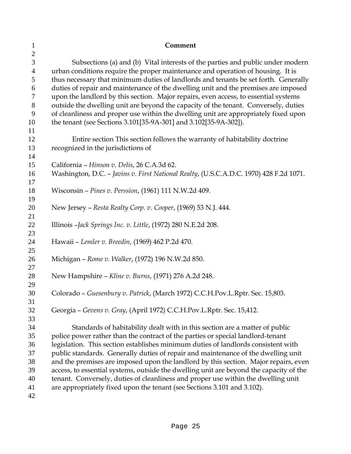| $\mathbf{1}$        | Comment                                                                                                                                                                       |
|---------------------|-------------------------------------------------------------------------------------------------------------------------------------------------------------------------------|
| $\mathbf{2}$        |                                                                                                                                                                               |
| 3<br>$\overline{4}$ | Subsections (a) and (b) Vital interests of the parties and public under modern<br>urban conditions require the proper maintenance and operation of housing. It is             |
| 5                   | thus necessary that minimum duties of landlords and tenants be set forth. Generally                                                                                           |
| 6                   | duties of repair and maintenance of the dwelling unit and the premises are imposed                                                                                            |
| 7                   | upon the landlord by this section. Major repairs, even access, to essential systems                                                                                           |
| $8\,$               | outside the dwelling unit are beyond the capacity of the tenant. Conversely, duties                                                                                           |
| 9                   | of cleanliness and proper use within the dwelling unit are appropriately fixed upon                                                                                           |
| 10                  | the tenant (see Sections 3.101[35-9A-301] and 3.102[35-9A-302]).                                                                                                              |
| 11<br>12            | Entire section This section follows the warranty of habitability doctrine                                                                                                     |
| 13                  | recognized in the jurisdictions of                                                                                                                                            |
| 14                  |                                                                                                                                                                               |
| 15                  | California - Hinson v. Delis, 26 C.A.3d 62.                                                                                                                                   |
| 16                  | Washington, D.C. - Javins v. First National Realty, (U.S.C.A.D.C. 1970) 428 F.2d 1071.                                                                                        |
| 17                  |                                                                                                                                                                               |
| 18                  | Wisconsin - Pines v. Perssion, (1961) 111 N.W.2d 409.                                                                                                                         |
| 19                  |                                                                                                                                                                               |
| 20                  | New Jersey - Resta Realty Corp. v. Cooper, (1969) 53 N.J. 444.                                                                                                                |
| 21                  |                                                                                                                                                                               |
| 22                  | Illinois - Jack Springs Inc. v. Little, (1972) 280 N.E.2d 208.                                                                                                                |
| 23                  |                                                                                                                                                                               |
| 24<br>25            | Hawaii - Lemler v. Breedin, (1969) 462 P.2d 470.                                                                                                                              |
| 26                  | Michigan - Rome v. Walker, (1972) 196 N.W.2d 850.                                                                                                                             |
| 27                  |                                                                                                                                                                               |
| 28                  | New Hampshire - Kline v. Burns, (1971) 276 A.2d 248.                                                                                                                          |
| 29                  |                                                                                                                                                                               |
| 30                  | Colorado - Guesenbury v. Patrick, (March 1972) C.C.H.Pov.L.Rptr. Sec. 15,803.                                                                                                 |
| 31                  |                                                                                                                                                                               |
| 32                  | Georgia - Gevens v. Gray, (April 1972) C.C.H.Pov.L.Rptr. Sec. 15,412.                                                                                                         |
| 33                  |                                                                                                                                                                               |
| 34                  | Standards of habitability dealt with in this section are a matter of public                                                                                                   |
| 35                  | police power rather than the contract of the parties or special landlord-tenant                                                                                               |
| 36                  | legislation. This section establishes minimum duties of landlords consistent with                                                                                             |
| 37<br>38            | public standards. Generally duties of repair and maintenance of the dwelling unit                                                                                             |
| 39                  | and the premises are imposed upon the landlord by this section. Major repairs, even<br>access, to essential systems, outside the dwelling unit are beyond the capacity of the |
| 40                  | tenant. Conversely, duties of cleanliness and proper use within the dwelling unit                                                                                             |
| 41                  | are appropriately fixed upon the tenant (see Sections 3.101 and 3.102).                                                                                                       |
| 42                  |                                                                                                                                                                               |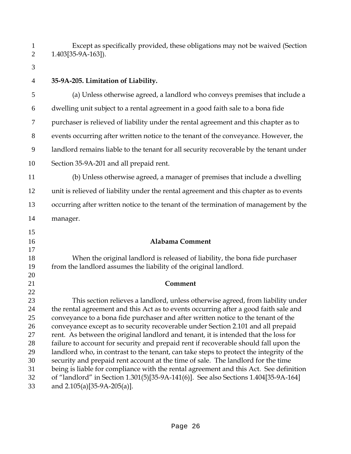Except as specifically provided, these obligations may not be waived (Section 1.403[35-9A-163]). **35-9A-205. Limitation of Liability.**  (a) Unless otherwise agreed, a landlord who conveys premises that include a dwelling unit subject to a rental agreement in a good faith sale to a bona fide purchaser is relieved of liability under the rental agreement and this chapter as to events occurring after written notice to the tenant of the conveyance. However, the landlord remains liable to the tenant for all security recoverable by the tenant under Section 35-9A-201 and all prepaid rent. (b) Unless otherwise agreed, a manager of premises that include a dwelling unit is relieved of liability under the rental agreement and this chapter as to events occurring after written notice to the tenant of the termination of management by the manager. **Alabama Comment**  When the original landlord is released of liability, the bona fide purchaser from the landlord assumes the liability of the original landlord. **Comment** This section relieves a landlord, unless otherwise agreed, from liability under

the rental agreement and this Act as to events occurring after a good faith sale and conveyance to a bona fide purchaser and after written notice to the tenant of the conveyance except as to security recoverable under Section 2.101 and all prepaid rent. As between the original landlord and tenant, it is intended that the loss for failure to account for security and prepaid rent if recoverable should fall upon the landlord who, in contrast to the tenant, can take steps to protect the integrity of the security and prepaid rent account at the time of sale. The landlord for the time being is liable for compliance with the rental agreement and this Act. See definition of "landlord" in Section 1.301(5)[35-9A-141(6)]. See also Sections 1.404[35-9A-164] and 2.105(a)[35-9A-205(a)].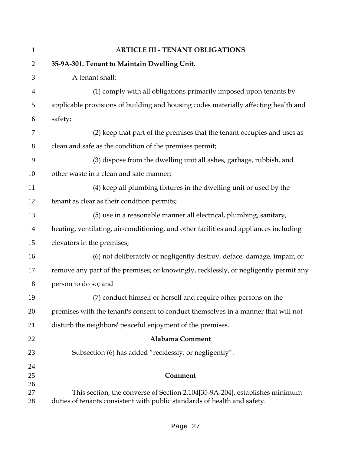| $\mathbf{1}$   | <b>ARTICLE III - TENANT OBLIGATIONS</b>                                               |
|----------------|---------------------------------------------------------------------------------------|
| $\overline{2}$ | 35-9A-301. Tenant to Maintain Dwelling Unit.                                          |
| 3              | A tenant shall:                                                                       |
| $\overline{4}$ | (1) comply with all obligations primarily imposed upon tenants by                     |
| 5              | applicable provisions of building and housing codes materially affecting health and   |
| 6              | safety;                                                                               |
| 7              | (2) keep that part of the premises that the tenant occupies and uses as               |
| $8\,$          | clean and safe as the condition of the premises permit;                               |
| 9              | (3) dispose from the dwelling unit all ashes, garbage, rubbish, and                   |
| 10             | other waste in a clean and safe manner;                                               |
| 11             | (4) keep all plumbing fixtures in the dwelling unit or used by the                    |
| 12             | tenant as clear as their condition permits;                                           |
| 13             | (5) use in a reasonable manner all electrical, plumbing, sanitary,                    |
| 14             | heating, ventilating, air-conditioning, and other facilities and appliances including |
| 15             | elevators in the premises;                                                            |
| 16             | (6) not deliberately or negligently destroy, deface, damage, impair, or               |
| 17             | remove any part of the premises; or knowingly, recklessly, or negligently permit any  |
| 18             | person to do so; and                                                                  |
| 19             | (7) conduct himself or herself and require other persons on the                       |
| 20             | premises with the tenant's consent to conduct themselves in a manner that will not    |
| 21             | disturb the neighbors' peaceful enjoyment of the premises.                            |
| 22             | <b>Alabama Comment</b>                                                                |
| 23             | Subsection (6) has added "recklessly, or negligently".                                |
| 24             |                                                                                       |
| 25             | Comment                                                                               |
| 26<br>27       | This section, the converse of Section 2.104[35-9A-204], establishes minimum           |
| 28             | duties of tenants consistent with public standards of health and safety.              |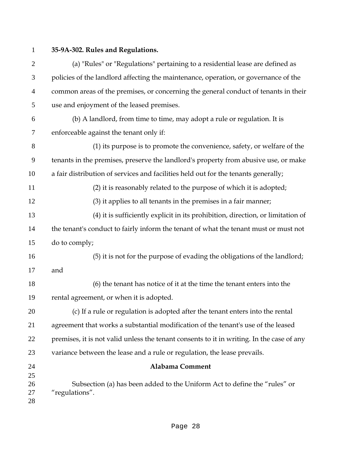## **35-9A-302. Rules and Regulations.**

(a) "Rules" or "Regulations" pertaining to a residential lease are defined as policies of the landlord affecting the maintenance, operation, or governance of the common areas of the premises, or concerning the general conduct of tenants in their use and enjoyment of the leased premises.

(b) A landlord, from time to time, may adopt a rule or regulation. It is enforceable against the tenant only if:

(1) its purpose is to promote the convenience, safety, or welfare of the tenants in the premises, preserve the landlord's property from abusive use, or make a fair distribution of services and facilities held out for the tenants generally;

(2) it is reasonably related to the purpose of which it is adopted;

(3) it applies to all tenants in the premises in a fair manner;

(4) it is sufficiently explicit in its prohibition, direction, or limitation of the tenant's conduct to fairly inform the tenant of what the tenant must or must not do to comply;

(5) it is not for the purpose of evading the obligations of the landlord; and

(6) the tenant has notice of it at the time the tenant enters into the rental agreement, or when it is adopted.

(c) If a rule or regulation is adopted after the tenant enters into the rental agreement that works a substantial modification of the tenant's use of the leased 22 premises, it is not valid unless the tenant consents to it in writing. In the case of any variance between the lease and a rule or regulation, the lease prevails.

**Alabama Comment**  Subsection (a) has been added to the Uniform Act to define the "rules" or "regulations".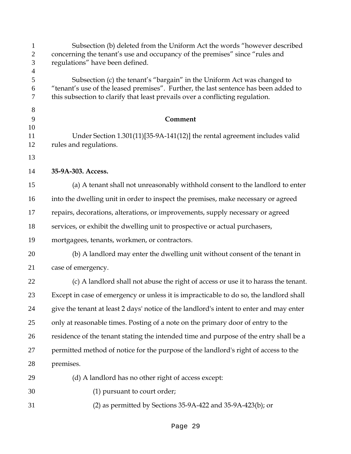| $\mathbf{1}$<br>$\overline{2}$<br>3     | Subsection (b) deleted from the Uniform Act the words "however described<br>concerning the tenant's use and occupancy of the premises" since "rules and<br>regulations" have been defined.                                                      |
|-----------------------------------------|-------------------------------------------------------------------------------------------------------------------------------------------------------------------------------------------------------------------------------------------------|
| $\overline{\mathcal{A}}$<br>5<br>6<br>7 | Subsection (c) the tenant's "bargain" in the Uniform Act was changed to<br>"tenant's use of the leased premises". Further, the last sentence has been added to<br>this subsection to clarify that least prevails over a conflicting regulation. |
| $8\,$<br>9<br>10                        | Comment                                                                                                                                                                                                                                         |
| 11<br>12                                | Under Section 1.301(11)[35-9A-141(12)] the rental agreement includes valid<br>rules and regulations.                                                                                                                                            |
| 13                                      |                                                                                                                                                                                                                                                 |
| 14                                      | 35-9A-303. Access.                                                                                                                                                                                                                              |
| 15                                      | (a) A tenant shall not unreasonably withhold consent to the landlord to enter                                                                                                                                                                   |
| 16                                      | into the dwelling unit in order to inspect the premises, make necessary or agreed                                                                                                                                                               |
| 17                                      | repairs, decorations, alterations, or improvements, supply necessary or agreed                                                                                                                                                                  |
| 18                                      | services, or exhibit the dwelling unit to prospective or actual purchasers,                                                                                                                                                                     |
| 19                                      | mortgagees, tenants, workmen, or contractors.                                                                                                                                                                                                   |
| 20                                      | (b) A landlord may enter the dwelling unit without consent of the tenant in                                                                                                                                                                     |
| 21                                      | case of emergency.                                                                                                                                                                                                                              |
| 22                                      | (c) A landlord shall not abuse the right of access or use it to harass the tenant.                                                                                                                                                              |
| 23                                      | Except in case of emergency or unless it is impracticable to do so, the landlord shall                                                                                                                                                          |
| 24                                      | give the tenant at least 2 days' notice of the landlord's intent to enter and may enter                                                                                                                                                         |
| 25                                      | only at reasonable times. Posting of a note on the primary door of entry to the                                                                                                                                                                 |
| 26                                      | residence of the tenant stating the intended time and purpose of the entry shall be a                                                                                                                                                           |
| 27                                      | permitted method of notice for the purpose of the landlord's right of access to the                                                                                                                                                             |
| 28                                      | premises.                                                                                                                                                                                                                                       |
| 29                                      | (d) A landlord has no other right of access except:                                                                                                                                                                                             |
| 30                                      | (1) pursuant to court order;                                                                                                                                                                                                                    |
| 31                                      | (2) as permitted by Sections 35-9A-422 and 35-9A-423(b); or                                                                                                                                                                                     |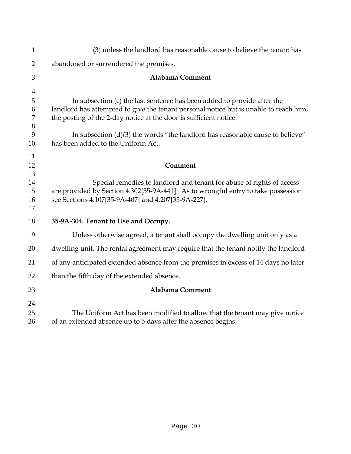| $\mathbf{1}$   | (3) unless the landlord has reasonable cause to believe the tenant has                                                |
|----------------|-----------------------------------------------------------------------------------------------------------------------|
| $\overline{2}$ | abandoned or surrendered the premises.                                                                                |
| 3              | <b>Alabama Comment</b>                                                                                                |
| $\overline{4}$ |                                                                                                                       |
| 5              | In subsection (c) the last sentence has been added to provide after the                                               |
| 6              | landlord has attempted to give the tenant personal notice but is unable to reach him,                                 |
| 7              | the posting of the 2-day notice at the door is sufficient notice.                                                     |
| 8              |                                                                                                                       |
| 9<br>10        | In subsection $(d)(3)$ the words "the landlord has reasonable cause to believe"<br>has been added to the Uniform Act. |
| 11             |                                                                                                                       |
| 12             | Comment                                                                                                               |
| 13             |                                                                                                                       |
| 14             | Special remedies to landlord and tenant for abuse of rights of access                                                 |
| 15             | are provided by Section 4.302[35-9A-441]. As to wrongful entry to take possession                                     |
| 16<br>17       | see Sections 4.107[35-9A-407] and 4.207[35-9A-227].                                                                   |
|                |                                                                                                                       |
| 18             | 35-9A-304. Tenant to Use and Occupy.                                                                                  |
| 19             | Unless otherwise agreed, a tenant shall occupy the dwelling unit only as a                                            |
| 20             | dwelling unit. The rental agreement may require that the tenant notify the landlord                                   |
| 21             | of any anticipated extended absence from the premises in excess of 14 days no later                                   |
| 22             | than the fifth day of the extended absence.                                                                           |
| 23             | <b>Alabama Comment</b>                                                                                                |
| 24             |                                                                                                                       |
| 25             | The Uniform Act has been modified to allow that the tenant may give notice                                            |
| 26             | of an extended absence up to 5 days after the absence begins.                                                         |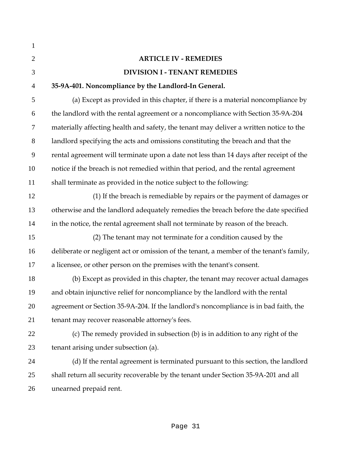| $\mathbf{1}$   |                                                                                         |
|----------------|-----------------------------------------------------------------------------------------|
| $\overline{2}$ | <b>ARTICLE IV - REMEDIES</b>                                                            |
| 3              | <b>DIVISION I - TENANT REMEDIES</b>                                                     |
| $\overline{4}$ | 35-9A-401. Noncompliance by the Landlord-In General.                                    |
| 5              | (a) Except as provided in this chapter, if there is a material noncompliance by         |
| 6              | the landlord with the rental agreement or a noncompliance with Section 35-9A-204        |
| 7              | materially affecting health and safety, the tenant may deliver a written notice to the  |
| 8              | landlord specifying the acts and omissions constituting the breach and that the         |
| 9              | rental agreement will terminate upon a date not less than 14 days after receipt of the  |
| 10             | notice if the breach is not remedied within that period, and the rental agreement       |
| 11             | shall terminate as provided in the notice subject to the following:                     |
| 12             | (1) If the breach is remediable by repairs or the payment of damages or                 |
| 13             | otherwise and the landlord adequately remedies the breach before the date specified     |
| 14             | in the notice, the rental agreement shall not terminate by reason of the breach.        |
| 15             | (2) The tenant may not terminate for a condition caused by the                          |
| 16             | deliberate or negligent act or omission of the tenant, a member of the tenant's family, |
| 17             | a licensee, or other person on the premises with the tenant's consent.                  |
| 18             | (b) Except as provided in this chapter, the tenant may recover actual damages           |
| 19             | and obtain injunctive relief for noncompliance by the landlord with the rental          |
| 20             | agreement or Section 35-9A-204. If the landlord's noncompliance is in bad faith, the    |
| 21             | tenant may recover reasonable attorney's fees.                                          |
| 22             | (c) The remedy provided in subsection (b) is in addition to any right of the            |
| 23             | tenant arising under subsection (a).                                                    |
| 24             | (d) If the rental agreement is terminated pursuant to this section, the landlord        |
| 25             | shall return all security recoverable by the tenant under Section 35-9A-201 and all     |
| 26             | unearned prepaid rent.                                                                  |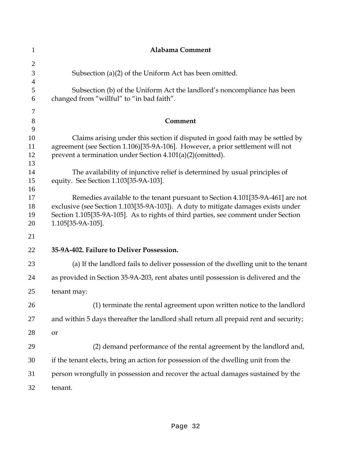| 1                   | Alabama Comment                                                                                                                                                         |
|---------------------|-------------------------------------------------------------------------------------------------------------------------------------------------------------------------|
| $\overline{2}$      |                                                                                                                                                                         |
| 3                   | Subsection (a) $(2)$ of the Uniform Act has been omitted.                                                                                                               |
| $\overline{4}$<br>5 | Subsection (b) of the Uniform Act the landlord's noncompliance has been                                                                                                 |
| 6                   | changed from "willful" to "in bad faith".                                                                                                                               |
| 7                   |                                                                                                                                                                         |
| $8\,$               | Comment                                                                                                                                                                 |
| 9<br>10             |                                                                                                                                                                         |
| 11                  | Claims arising under this section if disputed in good faith may be settled by<br>agreement (see Section 1.106)[35-9A-106]. However, a prior settlement will not         |
| 12                  | prevent a termination under Section 4.101(a)(2)(omitted).                                                                                                               |
| 13<br>14            | The availability of injunctive relief is determined by usual principles of                                                                                              |
| 15                  | equity. See Section 1.103[35-9A-103].                                                                                                                                   |
| 16                  |                                                                                                                                                                         |
| 17                  | Remedies available to the tenant pursuant to Section 4.101[35-9A-461] are not                                                                                           |
| 18<br>19            | exclusive (see Section 1.103[35-9A-103]). A duty to mitigate damages exists under<br>Section 1.105[35-9A-105]. As to rights of third parties, see comment under Section |
| 20                  | 1.105[35-9A-105].                                                                                                                                                       |
| 21                  |                                                                                                                                                                         |
| 22                  | 35-9A-402. Failure to Deliver Possession.                                                                                                                               |
| 23                  | (a) If the landlord fails to deliver possession of the dwelling unit to the tenant                                                                                      |
| 24                  | as provided in Section 35-9A-203, rent abates until possession is delivered and the                                                                                     |
| 25                  | tenant may:                                                                                                                                                             |
| 26                  | (1) terminate the rental agreement upon written notice to the landlord                                                                                                  |
| 27                  | and within 5 days thereafter the landlord shall return all prepaid rent and security;                                                                                   |
| 28                  | or                                                                                                                                                                      |
| 29                  | (2) demand performance of the rental agreement by the landlord and,                                                                                                     |
| 30                  | if the tenant elects, bring an action for possession of the dwelling unit from the                                                                                      |
| 31                  | person wrongfully in possession and recover the actual damages sustained by the                                                                                         |
| 32                  | tenant.                                                                                                                                                                 |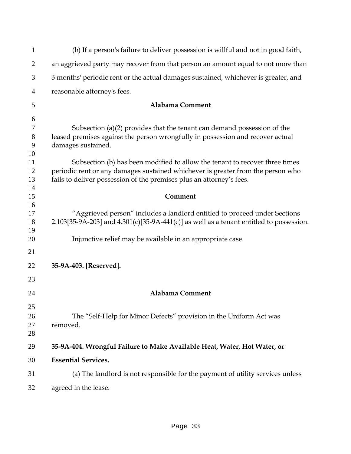| $\mathbf{1}$ | (b) If a person's failure to deliver possession is willful and not in good faith,          |
|--------------|--------------------------------------------------------------------------------------------|
| 2            | an aggrieved party may recover from that person an amount equal to not more than           |
| 3            | 3 months' periodic rent or the actual damages sustained, whichever is greater, and         |
| 4            | reasonable attorney's fees.                                                                |
| 5            | Alabama Comment                                                                            |
| 6            |                                                                                            |
| 7            | Subsection (a) $(2)$ provides that the tenant can demand possession of the                 |
| 8            | leased premises against the person wrongfully in possession and recover actual             |
| 9            | damages sustained.                                                                         |
| 10           |                                                                                            |
| 11           | Subsection (b) has been modified to allow the tenant to recover three times                |
| 12           | periodic rent or any damages sustained whichever is greater from the person who            |
| 13           | fails to deliver possession of the premises plus an attorney's fees.                       |
| 14           |                                                                                            |
| 15           | Comment                                                                                    |
| 16           |                                                                                            |
| 17           | "Aggrieved person" includes a landlord entitled to proceed under Sections                  |
| 18           | 2.103[35-9A-203] and $4.301(c)$ [35-9A-441(c)] as well as a tenant entitled to possession. |
| 19<br>20     | Injunctive relief may be available in an appropriate case.                                 |
|              |                                                                                            |
| 21           |                                                                                            |
| 22           | 35-9A-403. [Reserved].                                                                     |
| 23           |                                                                                            |
| 24           | Alabama Comment                                                                            |
| 25           |                                                                                            |
| 26           | The "Self-Help for Minor Defects" provision in the Uniform Act was                         |
| 27           | removed.                                                                                   |
| 28           |                                                                                            |
| 29           | 35-9A-404. Wrongful Failure to Make Available Heat, Water, Hot Water, or                   |
| 30           | <b>Essential Services.</b>                                                                 |
| 31           | (a) The landlord is not responsible for the payment of utility services unless             |
|              |                                                                                            |
| 32           | agreed in the lease.                                                                       |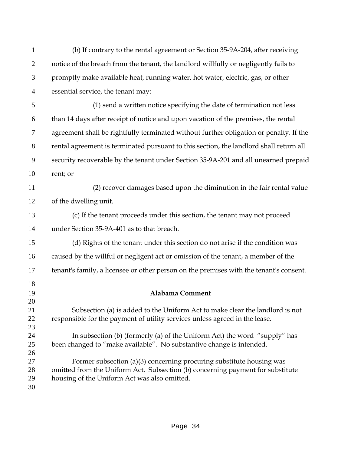| $\mathbf{1}$   | (b) If contrary to the rental agreement or Section 35-9A-204, after receiving                                                                               |
|----------------|-------------------------------------------------------------------------------------------------------------------------------------------------------------|
| $\overline{2}$ | notice of the breach from the tenant, the landlord willfully or negligently fails to                                                                        |
| 3              | promptly make available heat, running water, hot water, electric, gas, or other                                                                             |
| $\overline{4}$ | essential service, the tenant may:                                                                                                                          |
| 5              | (1) send a written notice specifying the date of termination not less                                                                                       |
| 6              | than 14 days after receipt of notice and upon vacation of the premises, the rental                                                                          |
| 7              | agreement shall be rightfully terminated without further obligation or penalty. If the                                                                      |
| $8\,$          | rental agreement is terminated pursuant to this section, the landlord shall return all                                                                      |
| 9              | security recoverable by the tenant under Section 35-9A-201 and all unearned prepaid                                                                         |
| 10             | rent; or                                                                                                                                                    |
| 11             | (2) recover damages based upon the diminution in the fair rental value                                                                                      |
| 12             | of the dwelling unit.                                                                                                                                       |
| 13             | (c) If the tenant proceeds under this section, the tenant may not proceed                                                                                   |
| 14             | under Section 35-9A-401 as to that breach.                                                                                                                  |
| 15             | (d) Rights of the tenant under this section do not arise if the condition was                                                                               |
| 16             | caused by the willful or negligent act or omission of the tenant, a member of the                                                                           |
| 17             | tenant's family, a licensee or other person on the premises with the tenant's consent.                                                                      |
| 18             |                                                                                                                                                             |
| 19             | <b>Alabama Comment</b>                                                                                                                                      |
| 20             |                                                                                                                                                             |
| 21<br>22       | Subsection (a) is added to the Uniform Act to make clear the landlord is not<br>responsible for the payment of utility services unless agreed in the lease. |
| 23             |                                                                                                                                                             |
| 24             | In subsection (b) (formerly (a) of the Uniform Act) the word "supply" has                                                                                   |
| 25             | been changed to "make available". No substantive change is intended.                                                                                        |
| 26             |                                                                                                                                                             |
| 27             | Former subsection (a)(3) concerning procuring substitute housing was                                                                                        |
| 28             | omitted from the Uniform Act. Subsection (b) concerning payment for substitute                                                                              |
| 29             | housing of the Uniform Act was also omitted.                                                                                                                |
| 30             |                                                                                                                                                             |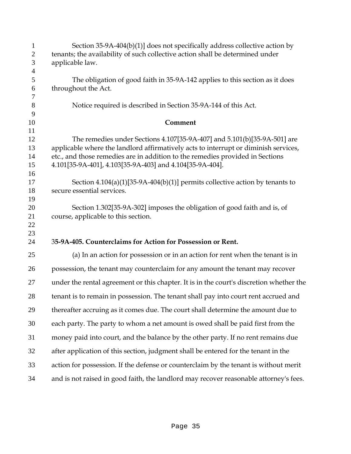| $\mathbf{1}$        | Section 35-9A-404(b)(1)] does not specifically address collective action by                                  |
|---------------------|--------------------------------------------------------------------------------------------------------------|
| $\mathbf{2}$        | tenants; the availability of such collective action shall be determined under                                |
| $\mathfrak{Z}$      | applicable law.                                                                                              |
| $\overline{4}$<br>5 | The obligation of good faith in 35-9A-142 applies to this section as it does                                 |
| 6                   | throughout the Act.                                                                                          |
| $\boldsymbol{7}$    |                                                                                                              |
| 8                   | Notice required is described in Section 35-9A-144 of this Act.                                               |
| 9                   |                                                                                                              |
| 10<br>11            | Comment                                                                                                      |
| 12                  | The remedies under Sections 4.107[35-9A-407] and 5.101(b)[35-9A-501] are                                     |
| 13                  | applicable where the landlord affirmatively acts to interrupt or diminish services,                          |
| 14                  | etc., and those remedies are in addition to the remedies provided in Sections                                |
| 15                  | 4.101[35-9A-401], 4.103[35-9A-403] and 4.104[35-9A-404].                                                     |
| 16                  |                                                                                                              |
| 17<br>18            | Section $4.104(a)(1)[35-9A-404(b)(1)]$ permits collective action by tenants to<br>secure essential services. |
| 19                  |                                                                                                              |
| 20                  | Section 1.302[35-9A-302] imposes the obligation of good faith and is, of                                     |
| 21                  | course, applicable to this section.                                                                          |
| 22                  |                                                                                                              |
| 23                  |                                                                                                              |
| 24                  | 35-9A-405. Counterclaims for Action for Possession or Rent.                                                  |
| 25                  | (a) In an action for possession or in an action for rent when the tenant is in                               |
| 26                  | possession, the tenant may counterclaim for any amount the tenant may recover                                |
| 27                  | under the rental agreement or this chapter. It is in the court's discretion whether the                      |
| 28                  | tenant is to remain in possession. The tenant shall pay into court rent accrued and                          |
| 29                  | thereafter accruing as it comes due. The court shall determine the amount due to                             |
| 30                  | each party. The party to whom a net amount is owed shall be paid first from the                              |
| 31                  | money paid into court, and the balance by the other party. If no rent remains due                            |
|                     |                                                                                                              |
| 32                  | after application of this section, judgment shall be entered for the tenant in the                           |
| 33                  | action for possession. If the defense or counterclaim by the tenant is without merit                         |
| 34                  | and is not raised in good faith, the landlord may recover reasonable attorney's fees.                        |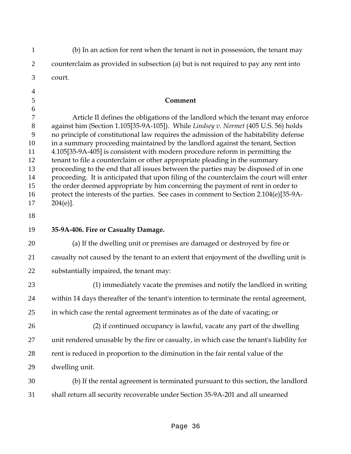| $\mathbf{1}$                                                        | (b) In an action for rent when the tenant is not in possession, the tenant may                                                                                                                                                                                                                                                                                                                                                                                                                                                                                                                                                                                                                                                                                                                           |
|---------------------------------------------------------------------|----------------------------------------------------------------------------------------------------------------------------------------------------------------------------------------------------------------------------------------------------------------------------------------------------------------------------------------------------------------------------------------------------------------------------------------------------------------------------------------------------------------------------------------------------------------------------------------------------------------------------------------------------------------------------------------------------------------------------------------------------------------------------------------------------------|
| $\overline{2}$                                                      | counterclaim as provided in subsection (a) but is not required to pay any rent into                                                                                                                                                                                                                                                                                                                                                                                                                                                                                                                                                                                                                                                                                                                      |
| 3                                                                   | court.                                                                                                                                                                                                                                                                                                                                                                                                                                                                                                                                                                                                                                                                                                                                                                                                   |
| $\overline{4}$<br>5<br>6<br>$\tau$                                  | Comment<br>Article II defines the obligations of the landlord which the tenant may enforce                                                                                                                                                                                                                                                                                                                                                                                                                                                                                                                                                                                                                                                                                                               |
| $8\phantom{1}$<br>9<br>10<br>11<br>12<br>13<br>14<br>15<br>16<br>17 | against him (Section 1.105[35-9A-105]). While Lindsey v. Normet (405 U.S. 56) holds<br>no principle of constitutional law requires the admission of the habitability defense<br>in a summary proceeding maintained by the landlord against the tenant, Section<br>4.105[35-9A-405] is consistent with modern procedure reform in permitting the<br>tenant to file a counterclaim or other appropriate pleading in the summary<br>proceeding to the end that all issues between the parties may be disposed of in one<br>proceeding. It is anticipated that upon filing of the counterclaim the court will enter<br>the order deemed appropriate by him concerning the payment of rent in order to<br>protect the interests of the parties. See cases in comment to Section 2.104(e)[35-9A-<br>$204(e)$ . |
| 18<br>19                                                            | 35-9A-406. Fire or Casualty Damage.                                                                                                                                                                                                                                                                                                                                                                                                                                                                                                                                                                                                                                                                                                                                                                      |
| 20                                                                  | (a) If the dwelling unit or premises are damaged or destroyed by fire or                                                                                                                                                                                                                                                                                                                                                                                                                                                                                                                                                                                                                                                                                                                                 |
| 21                                                                  | casualty not caused by the tenant to an extent that enjoyment of the dwelling unit is                                                                                                                                                                                                                                                                                                                                                                                                                                                                                                                                                                                                                                                                                                                    |
| 22                                                                  | substantially impaired, the tenant may:                                                                                                                                                                                                                                                                                                                                                                                                                                                                                                                                                                                                                                                                                                                                                                  |
| 23                                                                  | (1) immediately vacate the premises and notify the landlord in writing                                                                                                                                                                                                                                                                                                                                                                                                                                                                                                                                                                                                                                                                                                                                   |
| 24                                                                  | within 14 days thereafter of the tenant's intention to terminate the rental agreement,                                                                                                                                                                                                                                                                                                                                                                                                                                                                                                                                                                                                                                                                                                                   |
| 25                                                                  | in which case the rental agreement terminates as of the date of vacating; or                                                                                                                                                                                                                                                                                                                                                                                                                                                                                                                                                                                                                                                                                                                             |
| 26                                                                  | (2) if continued occupancy is lawful, vacate any part of the dwelling                                                                                                                                                                                                                                                                                                                                                                                                                                                                                                                                                                                                                                                                                                                                    |
| 27                                                                  | unit rendered unusable by the fire or casualty, in which case the tenant's liability for                                                                                                                                                                                                                                                                                                                                                                                                                                                                                                                                                                                                                                                                                                                 |
| 28                                                                  | rent is reduced in proportion to the diminution in the fair rental value of the                                                                                                                                                                                                                                                                                                                                                                                                                                                                                                                                                                                                                                                                                                                          |
| 29                                                                  | dwelling unit.                                                                                                                                                                                                                                                                                                                                                                                                                                                                                                                                                                                                                                                                                                                                                                                           |
| 30                                                                  | (b) If the rental agreement is terminated pursuant to this section, the landlord                                                                                                                                                                                                                                                                                                                                                                                                                                                                                                                                                                                                                                                                                                                         |
| 31                                                                  | shall return all security recoverable under Section 35-9A-201 and all unearned                                                                                                                                                                                                                                                                                                                                                                                                                                                                                                                                                                                                                                                                                                                           |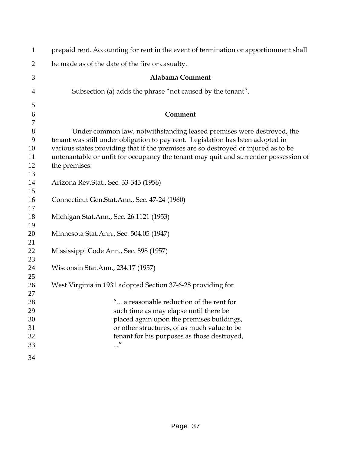| $\mathbf{1}$   | prepaid rent. Accounting for rent in the event of termination or apportionment shall                                                                                      |
|----------------|---------------------------------------------------------------------------------------------------------------------------------------------------------------------------|
| $\overline{2}$ | be made as of the date of the fire or casualty.                                                                                                                           |
| 3              | Alabama Comment                                                                                                                                                           |
| 4              | Subsection (a) adds the phrase "not caused by the tenant".                                                                                                                |
| 5              |                                                                                                                                                                           |
| 6              | Comment                                                                                                                                                                   |
| $\tau$         |                                                                                                                                                                           |
| 8<br>9         | Under common law, notwithstanding leased premises were destroyed, the<br>tenant was still under obligation to pay rent. Legislation has been adopted in                   |
| 10<br>11       | various states providing that if the premises are so destroyed or injured as to be<br>untenantable or unfit for occupancy the tenant may quit and surrender possession of |
| 12             | the premises:                                                                                                                                                             |
| 13             |                                                                                                                                                                           |
| 14             | Arizona Rev. Stat., Sec. 33-343 (1956)                                                                                                                                    |
| 15             |                                                                                                                                                                           |
| 16             | Connecticut Gen.Stat.Ann., Sec. 47-24 (1960)                                                                                                                              |
| 17<br>18       | Michigan Stat.Ann., Sec. 26.1121 (1953)                                                                                                                                   |
| 19             |                                                                                                                                                                           |
| 20             | Minnesota Stat.Ann., Sec. 504.05 (1947)                                                                                                                                   |
| 21             |                                                                                                                                                                           |
| 22             | Mississippi Code Ann., Sec. 898 (1957)                                                                                                                                    |
| 23<br>24       | Wisconsin Stat.Ann., 234.17 (1957)                                                                                                                                        |
| 25             |                                                                                                                                                                           |
| 26             | West Virginia in 1931 adopted Section 37-6-28 providing for                                                                                                               |
| 27             |                                                                                                                                                                           |
| 28             | " a reasonable reduction of the rent for                                                                                                                                  |
| 29             | such time as may elapse until there be                                                                                                                                    |
| 30             | placed again upon the premises buildings,                                                                                                                                 |
| 31             | or other structures, of as much value to be                                                                                                                               |
| 32             | tenant for his purposes as those destroyed,                                                                                                                               |
| 33             |                                                                                                                                                                           |
| 34             |                                                                                                                                                                           |
|                |                                                                                                                                                                           |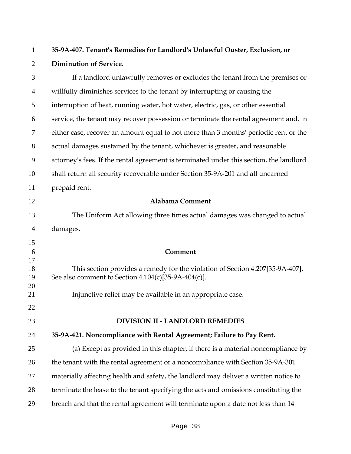| $\mathbf{1}$   | 35-9A-407. Tenant's Remedies for Landlord's Unlawful Ouster, Exclusion, or                                                             |
|----------------|----------------------------------------------------------------------------------------------------------------------------------------|
| $\overline{2}$ | <b>Diminution of Service.</b>                                                                                                          |
| 3              | If a landlord unlawfully removes or excludes the tenant from the premises or                                                           |
| $\overline{4}$ | willfully diminishes services to the tenant by interrupting or causing the                                                             |
| 5              | interruption of heat, running water, hot water, electric, gas, or other essential                                                      |
| 6              | service, the tenant may recover possession or terminate the rental agreement and, in                                                   |
| 7              | either case, recover an amount equal to not more than 3 months' periodic rent or the                                                   |
| $8\,$          | actual damages sustained by the tenant, whichever is greater, and reasonable                                                           |
| 9              | attorney's fees. If the rental agreement is terminated under this section, the landlord                                                |
| 10             | shall return all security recoverable under Section 35-9A-201 and all unearned                                                         |
| 11             | prepaid rent.                                                                                                                          |
| 12             | <b>Alabama Comment</b>                                                                                                                 |
| 13             | The Uniform Act allowing three times actual damages was changed to actual                                                              |
| 14             | damages.                                                                                                                               |
| 15<br>16<br>17 | Comment                                                                                                                                |
| 18<br>19<br>20 | This section provides a remedy for the violation of Section 4.207[35-9A-407].<br>See also comment to Section $4.104(c)[35-9A-404(c)].$ |
| 21             | Injunctive relief may be available in an appropriate case.                                                                             |
| 22             |                                                                                                                                        |
| 23             | <b>DIVISION II - LANDLORD REMEDIES</b>                                                                                                 |
| 24             | 35-9A-421. Noncompliance with Rental Agreement; Failure to Pay Rent.                                                                   |
| 25             | (a) Except as provided in this chapter, if there is a material noncompliance by                                                        |
| 26             | the tenant with the rental agreement or a noncompliance with Section 35-9A-301                                                         |
| 27             | materially affecting health and safety, the landlord may deliver a written notice to                                                   |
| 28             | terminate the lease to the tenant specifying the acts and omissions constituting the                                                   |
| 29             | breach and that the rental agreement will terminate upon a date not less than 14                                                       |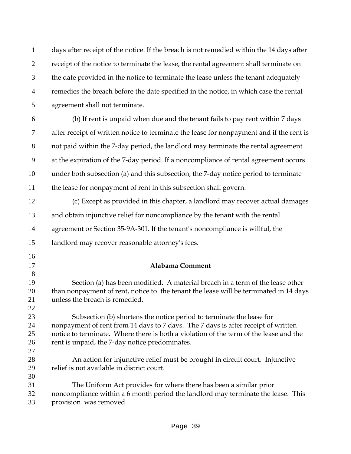days after receipt of the notice. If the breach is not remedied within the 14 days after 2 receipt of the notice to terminate the lease, the rental agreement shall terminate on the date provided in the notice to terminate the lease unless the tenant adequately remedies the breach before the date specified in the notice, in which case the rental agreement shall not terminate.

(b) If rent is unpaid when due and the tenant fails to pay rent within 7 days after receipt of written notice to terminate the lease for nonpayment and if the rent is not paid within the 7-day period, the landlord may terminate the rental agreement at the expiration of the 7-day period. If a noncompliance of rental agreement occurs under both subsection (a) and this subsection, the 7-day notice period to terminate the lease for nonpayment of rent in this subsection shall govern.

(c) Except as provided in this chapter, a landlord may recover actual damages and obtain injunctive relief for noncompliance by the tenant with the rental agreement or Section 35-9A-301. If the tenant's noncompliance is willful, the

landlord may recover reasonable attorney's fees.

**Alabama Comment**

Section (a) has been modified. A material breach in a term of the lease other than nonpayment of rent, notice to the tenant the lease will be terminated in 14 days unless the breach is remedied.

Subsection (b) shortens the notice period to terminate the lease for nonpayment of rent from 14 days to 7 days. The 7 days is after receipt of written notice to terminate. Where there is both a violation of the term of the lease and the rent is unpaid, the 7-day notice predominates.

An action for injunctive relief must be brought in circuit court. Injunctive relief is not available in district court.

The Uniform Act provides for where there has been a similar prior noncompliance within a 6 month period the landlord may terminate the lease. This provision was removed.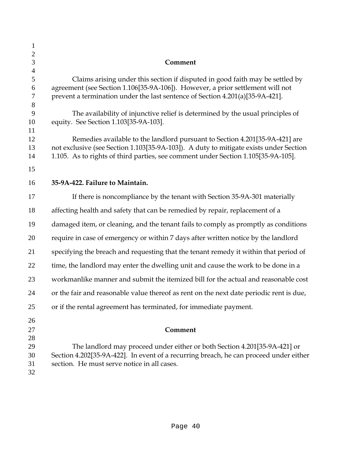| $\mathbf{1}$               |                                                                                                                                                                                                                                                           |
|----------------------------|-----------------------------------------------------------------------------------------------------------------------------------------------------------------------------------------------------------------------------------------------------------|
| $\mathbf{2}$               |                                                                                                                                                                                                                                                           |
| 3<br>$\overline{4}$        | Comment                                                                                                                                                                                                                                                   |
| 5<br>6<br>$\tau$           | Claims arising under this section if disputed in good faith may be settled by<br>agreement (see Section 1.106[35-9A-106]). However, a prior settlement will not<br>prevent a termination under the last sentence of Section 4.201(a)[35-9A-421].          |
| 8<br>9<br>10               | The availability of injunctive relief is determined by the usual principles of<br>equity. See Section 1.103[35-9A-103].                                                                                                                                   |
| 11<br>12<br>13<br>14<br>15 | Remedies available to the landlord pursuant to Section 4.201[35-9A-421] are<br>not exclusive (see Section 1.103[35-9A-103]). A duty to mitigate exists under Section<br>1.105. As to rights of third parties, see comment under Section 1.105[35-9A-105]. |
| 16                         | 35-9A-422. Failure to Maintain.                                                                                                                                                                                                                           |
| 17                         | If there is noncompliance by the tenant with Section 35-9A-301 materially                                                                                                                                                                                 |
| 18                         | affecting health and safety that can be remedied by repair, replacement of a                                                                                                                                                                              |
| 19                         | damaged item, or cleaning, and the tenant fails to comply as promptly as conditions                                                                                                                                                                       |
| 20                         | require in case of emergency or within 7 days after written notice by the landlord                                                                                                                                                                        |
| 21                         | specifying the breach and requesting that the tenant remedy it within that period of                                                                                                                                                                      |
| 22                         | time, the landlord may enter the dwelling unit and cause the work to be done in a                                                                                                                                                                         |
| 23                         | workmanlike manner and submit the itemized bill for the actual and reasonable cost                                                                                                                                                                        |
| 24                         | or the fair and reasonable value thereof as rent on the next date periodic rent is due,                                                                                                                                                                   |
| 25                         | or if the rental agreement has terminated, for immediate payment.                                                                                                                                                                                         |
| 26<br>27                   | Comment                                                                                                                                                                                                                                                   |
| 28<br>29<br>30<br>31<br>32 | The landlord may proceed under either or both Section 4.201[35-9A-421] or<br>Section 4.202[35-9A-422]. In event of a recurring breach, he can proceed under either<br>section. He must serve notice in all cases.                                         |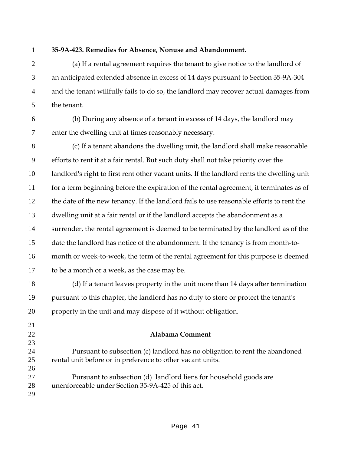## **35-9A-423. Remedies for Absence, Nonuse and Abandonment.**

(a) If a rental agreement requires the tenant to give notice to the landlord of an anticipated extended absence in excess of 14 days pursuant to Section 35-9A-304 and the tenant willfully fails to do so, the landlord may recover actual damages from the tenant.

(b) During any absence of a tenant in excess of 14 days, the landlord may enter the dwelling unit at times reasonably necessary.

(c) If a tenant abandons the dwelling unit, the landlord shall make reasonable efforts to rent it at a fair rental. But such duty shall not take priority over the landlord's right to first rent other vacant units. If the landlord rents the dwelling unit 11 for a term beginning before the expiration of the rental agreement, it terminates as of the date of the new tenancy. If the landlord fails to use reasonable efforts to rent the dwelling unit at a fair rental or if the landlord accepts the abandonment as a 14 surrender, the rental agreement is deemed to be terminated by the landlord as of the date the landlord has notice of the abandonment. If the tenancy is from month-to-month or week-to-week, the term of the rental agreement for this purpose is deemed to be a month or a week, as the case may be.

(d) If a tenant leaves property in the unit more than 14 days after termination pursuant to this chapter, the landlord has no duty to store or protect the tenant's property in the unit and may dispose of it without obligation.

**Alabama Comment**

Pursuant to subsection (c) landlord has no obligation to rent the abandoned rental unit before or in preference to other vacant units. 

Pursuant to subsection (d) landlord liens for household goods are unenforceable under Section 35-9A-425 of this act.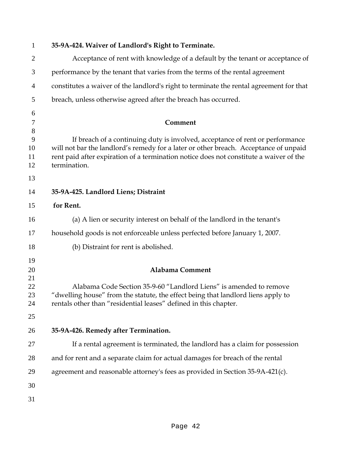| $\mathbf{1}$                       | 35-9A-424. Waiver of Landlord's Right to Terminate.                                                                                                                                                                                                                             |
|------------------------------------|---------------------------------------------------------------------------------------------------------------------------------------------------------------------------------------------------------------------------------------------------------------------------------|
| $\overline{2}$                     | Acceptance of rent with knowledge of a default by the tenant or acceptance of                                                                                                                                                                                                   |
| 3                                  | performance by the tenant that varies from the terms of the rental agreement                                                                                                                                                                                                    |
| $\overline{4}$                     | constitutes a waiver of the landlord's right to terminate the rental agreement for that                                                                                                                                                                                         |
| 5                                  | breach, unless otherwise agreed after the breach has occurred.                                                                                                                                                                                                                  |
| 6                                  |                                                                                                                                                                                                                                                                                 |
| $\tau$                             | Comment                                                                                                                                                                                                                                                                         |
| $8\,$<br>9<br>10<br>11<br>12<br>13 | If breach of a continuing duty is involved, acceptance of rent or performance<br>will not bar the landlord's remedy for a later or other breach. Acceptance of unpaid<br>rent paid after expiration of a termination notice does not constitute a waiver of the<br>termination. |
| 14                                 | 35-9A-425. Landlord Liens; Distraint                                                                                                                                                                                                                                            |
| 15                                 | for Rent.                                                                                                                                                                                                                                                                       |
| 16                                 | (a) A lien or security interest on behalf of the landlord in the tenant's                                                                                                                                                                                                       |
|                                    |                                                                                                                                                                                                                                                                                 |
| 17                                 | household goods is not enforceable unless perfected before January 1, 2007.                                                                                                                                                                                                     |
| 18                                 | (b) Distraint for rent is abolished.                                                                                                                                                                                                                                            |
| 19<br>20<br>21<br>22<br>23<br>24   | <b>Alabama Comment</b><br>Alabama Code Section 35-9-60 "Landlord Liens" is amended to remove<br>"dwelling house" from the statute, the effect being that landlord liens apply to<br>rentals other than "residential leases" defined in this chapter.                            |
| 25                                 |                                                                                                                                                                                                                                                                                 |
| 26                                 | 35-9A-426. Remedy after Termination.                                                                                                                                                                                                                                            |
| 27                                 | If a rental agreement is terminated, the landlord has a claim for possession                                                                                                                                                                                                    |
| 28                                 | and for rent and a separate claim for actual damages for breach of the rental                                                                                                                                                                                                   |
| 29                                 | agreement and reasonable attorney's fees as provided in Section 35-9A-421(c).                                                                                                                                                                                                   |
| 30                                 |                                                                                                                                                                                                                                                                                 |
| 31                                 |                                                                                                                                                                                                                                                                                 |
|                                    |                                                                                                                                                                                                                                                                                 |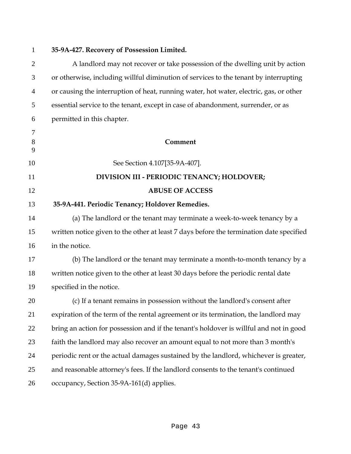## **35-9A-427. Recovery of Possession Limited.**

A landlord may not recover or take possession of the dwelling unit by action or otherwise, including willful diminution of services to the tenant by interrupting or causing the interruption of heat, running water, hot water, electric, gas, or other essential service to the tenant, except in case of abandonment, surrender, or as permitted in this chapter.

**Comment** See Section 4.107[35-9A-407]. **DIVISION III - PERIODIC TENANCY; HOLDOVER; ABUSE OF ACCESS 35-9A-441. Periodic Tenancy; Holdover Remedies.**  (a) The landlord or the tenant may terminate a week-to-week tenancy by a

written notice given to the other at least 7 days before the termination date specified in the notice.

(b) The landlord or the tenant may terminate a month-to-month tenancy by a written notice given to the other at least 30 days before the periodic rental date specified in the notice.

(c) If a tenant remains in possession without the landlord's consent after expiration of the term of the rental agreement or its termination, the landlord may bring an action for possession and if the tenant's holdover is willful and not in good faith the landlord may also recover an amount equal to not more than 3 month's periodic rent or the actual damages sustained by the landlord, whichever is greater, and reasonable attorney's fees. If the landlord consents to the tenant's continued occupancy, Section 35-9A-161(d) applies.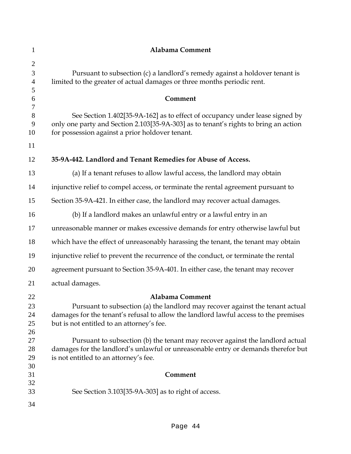| $\mathbf{1}$                               | <b>Alabama Comment</b>                                                                                                                                                                                                  |
|--------------------------------------------|-------------------------------------------------------------------------------------------------------------------------------------------------------------------------------------------------------------------------|
| $\overline{2}$<br>3<br>$\overline{4}$<br>5 | Pursuant to subsection (c) a landlord's remedy against a holdover tenant is<br>limited to the greater of actual damages or three months periodic rent.                                                                  |
| 6<br>7                                     | Comment                                                                                                                                                                                                                 |
| 8<br>9<br>10                               | See Section 1.402[35-9A-162] as to effect of occupancy under lease signed by<br>only one party and Section 2.103[35-9A-303] as to tenant's rights to bring an action<br>for possession against a prior holdover tenant. |
| 11                                         |                                                                                                                                                                                                                         |
| 12                                         | 35-9A-442. Landlord and Tenant Remedies for Abuse of Access.                                                                                                                                                            |
| 13                                         | (a) If a tenant refuses to allow lawful access, the landlord may obtain                                                                                                                                                 |
| 14                                         | injunctive relief to compel access, or terminate the rental agreement pursuant to                                                                                                                                       |
| 15                                         | Section 35-9A-421. In either case, the landlord may recover actual damages.                                                                                                                                             |
| 16                                         | (b) If a landlord makes an unlawful entry or a lawful entry in an                                                                                                                                                       |
| 17                                         | unreasonable manner or makes excessive demands for entry otherwise lawful but                                                                                                                                           |
| 18                                         | which have the effect of unreasonably harassing the tenant, the tenant may obtain                                                                                                                                       |
| 19                                         | injunctive relief to prevent the recurrence of the conduct, or terminate the rental                                                                                                                                     |
| 20                                         | agreement pursuant to Section 35-9A-401. In either case, the tenant may recover                                                                                                                                         |
| 21                                         | actual damages.                                                                                                                                                                                                         |
| 22                                         | <b>Alabama Comment</b>                                                                                                                                                                                                  |
| 23<br>24<br>25<br>26                       | Pursuant to subsection (a) the landlord may recover against the tenant actual<br>damages for the tenant's refusal to allow the landlord lawful access to the premises<br>but is not entitled to an attorney's fee.      |
| 27<br>28<br>29                             | Pursuant to subsection (b) the tenant may recover against the landlord actual<br>damages for the landlord's unlawful or unreasonable entry or demands therefor but<br>is not entitled to an attorney's fee.             |
| 30<br>31                                   | Comment                                                                                                                                                                                                                 |
| 32<br>33                                   | See Section 3.103[35-9A-303] as to right of access.                                                                                                                                                                     |
| 34                                         |                                                                                                                                                                                                                         |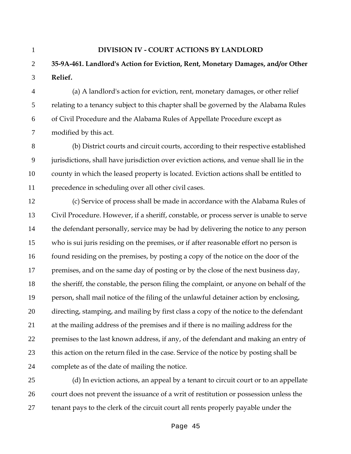#### **DIVISION IV - COURT ACTIONS BY LANDLORD**

# **35-9A-461. Landlord's Action for Eviction, Rent, Monetary Damages, and/or Other Relief.**

(a) A landlord's action for eviction, rent, monetary damages, or other relief relating to a tenancy subject to this chapter shall be governed by the Alabama Rules of Civil Procedure and the Alabama Rules of Appellate Procedure except as modified by this act.

(b) District courts and circuit courts, according to their respective established jurisdictions, shall have jurisdiction over eviction actions, and venue shall lie in the county in which the leased property is located. Eviction actions shall be entitled to precedence in scheduling over all other civil cases.

(c) Service of process shall be made in accordance with the Alabama Rules of Civil Procedure. However, if a sheriff, constable, or process server is unable to serve the defendant personally, service may be had by delivering the notice to any person who is sui juris residing on the premises, or if after reasonable effort no person is found residing on the premises, by posting a copy of the notice on the door of the 17 premises, and on the same day of posting or by the close of the next business day, the sheriff, the constable, the person filing the complaint, or anyone on behalf of the person, shall mail notice of the filing of the unlawful detainer action by enclosing, directing, stamping, and mailing by first class a copy of the notice to the defendant at the mailing address of the premises and if there is no mailing address for the premises to the last known address, if any, of the defendant and making an entry of this action on the return filed in the case. Service of the notice by posting shall be complete as of the date of mailing the notice.

(d) In eviction actions, an appeal by a tenant to circuit court or to an appellate court does not prevent the issuance of a writ of restitution or possession unless the tenant pays to the clerk of the circuit court all rents properly payable under the

Page 45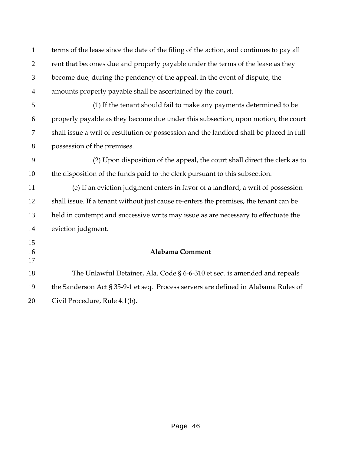| $\mathbf{1}$   | terms of the lease since the date of the filing of the action, and continues to pay all  |
|----------------|------------------------------------------------------------------------------------------|
| $\overline{2}$ | rent that becomes due and properly payable under the terms of the lease as they          |
| 3              | become due, during the pendency of the appeal. In the event of dispute, the              |
| $\overline{4}$ | amounts properly payable shall be ascertained by the court.                              |
| 5              | (1) If the tenant should fail to make any payments determined to be                      |
| 6              | properly payable as they become due under this subsection, upon motion, the court        |
| 7              | shall issue a writ of restitution or possession and the landlord shall be placed in full |
| 8              | possession of the premises.                                                              |
| 9              | (2) Upon disposition of the appeal, the court shall direct the clerk as to               |
| 10             | the disposition of the funds paid to the clerk pursuant to this subsection.              |
| 11             | (e) If an eviction judgment enters in favor of a landlord, a writ of possession          |
| 12             | shall issue. If a tenant without just cause re-enters the premises, the tenant can be    |
| 13             | held in contempt and successive writs may issue as are necessary to effectuate the       |
| 14             | eviction judgment.                                                                       |
| 15<br>16<br>17 | <b>Alabama Comment</b>                                                                   |
| 18             | The Unlawful Detainer, Ala. Code § 6-6-310 et seq. is amended and repeals                |
| 19             | the Sanderson Act § 35-9-1 et seq. Process servers are defined in Alabama Rules of       |
| 20             | Civil Procedure, Rule 4.1(b).                                                            |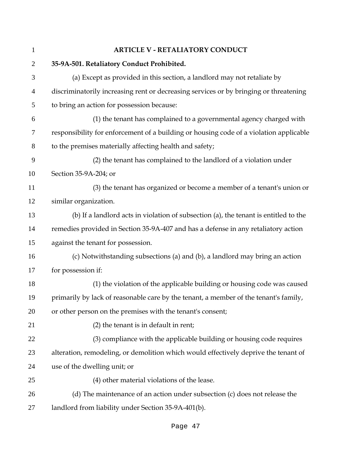| $\mathbf{1}$   | <b>ARTICLE V - RETALIATORY CONDUCT</b>                                                 |
|----------------|----------------------------------------------------------------------------------------|
| $\overline{2}$ | 35-9A-501. Retaliatory Conduct Prohibited.                                             |
| 3              | (a) Except as provided in this section, a landlord may not retaliate by                |
| $\overline{4}$ | discriminatorily increasing rent or decreasing services or by bringing or threatening  |
| 5              | to bring an action for possession because:                                             |
| 6              | (1) the tenant has complained to a governmental agency charged with                    |
| 7              | responsibility for enforcement of a building or housing code of a violation applicable |
| 8              | to the premises materially affecting health and safety;                                |
| 9              | (2) the tenant has complained to the landlord of a violation under                     |
| 10             | Section 35-9A-204; or                                                                  |
| 11             | (3) the tenant has organized or become a member of a tenant's union or                 |
| 12             | similar organization.                                                                  |
| 13             | (b) If a landlord acts in violation of subsection (a), the tenant is entitled to the   |
| 14             | remedies provided in Section 35-9A-407 and has a defense in any retaliatory action     |
| 15             | against the tenant for possession.                                                     |
| 16             | (c) Notwithstanding subsections (a) and (b), a landlord may bring an action            |
| 17             | for possession if:                                                                     |
| 18             | (1) the violation of the applicable building or housing code was caused                |
| 19             | primarily by lack of reasonable care by the tenant, a member of the tenant's family,   |
| 20             | or other person on the premises with the tenant's consent;                             |
| 21             | (2) the tenant is in default in rent;                                                  |
| 22             | (3) compliance with the applicable building or housing code requires                   |
| 23             | alteration, remodeling, or demolition which would effectively deprive the tenant of    |
| 24             | use of the dwelling unit; or                                                           |
| 25             | (4) other material violations of the lease.                                            |
| 26             | (d) The maintenance of an action under subsection (c) does not release the             |
| 27             | landlord from liability under Section 35-9A-401(b).                                    |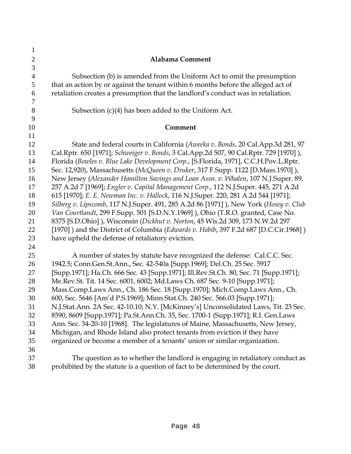| 1              |                                                                                                                                                                           |
|----------------|---------------------------------------------------------------------------------------------------------------------------------------------------------------------------|
| $\mathbf{2}$   | <b>Alabama Comment</b>                                                                                                                                                    |
| 3              |                                                                                                                                                                           |
| $\overline{4}$ | Subsection (b) is amended from the Uniform Act to omit the presumption                                                                                                    |
| 5              | that an action by or against the tenant within 6 months before the alleged act of                                                                                         |
| 6              | retaliation creates a presumption that the landlord's conduct was in retaliation.                                                                                         |
| $\overline{7}$ |                                                                                                                                                                           |
| $8\,$          | Subsection $(c)(4)$ has been added to the Uniform Act.                                                                                                                    |
| 9              |                                                                                                                                                                           |
| 10             | Comment                                                                                                                                                                   |
| 11             |                                                                                                                                                                           |
| 12             | State and federal courts in California (Aweeka v. Bonds, 20 Cal.App.3d 281, 97                                                                                            |
| 13             | Cal.Rptr. 650 [1971]; Schweiger v. Bonds, 3 Cal.App.2d 507, 90 Cal.Rptr. 729 [1970]),                                                                                     |
| 14             | Florida (Bowles v. Blue Lake Development Corp., [S.Florida, 1971], C.C.H.Pov.L.Rptr.                                                                                      |
| 15             | Sec. 12,920), Massachusetts (McQueen v. Druker, 317 F.Supp. 1122 [D.Mass.1970]),                                                                                          |
| 16             | New Jersey (Alexander Hamilton Savings and Loan Assn. v. Whalen, 107 N.J.Super. 89,                                                                                       |
| 17             | 257 A.2d 7 [1969]; Engler v. Capital Management Corp., 112 N.J.Super. 445, 271 A.2d                                                                                       |
| 18<br>19       | 615 [1970]; E. E. Newman Inc. v. Hallock, 116 N.J.Super. 220, 281 A.2d 544 [1971];                                                                                        |
| 20             | Silberg v. Lipscomb, 117 N.J.Super. 491, 285 A.2d 86 [1971] ), New York (Hosey v. Club<br>Van Courtlandt, 299 F.Supp. 501 [S.D.N.Y.1969]), Ohio (T.R.O. granted, Case No. |
| 21             | 8375 [S.D.Ohio]), Wisconsin (Dickhut v. Norton, 45 Wis.2d 309, 173 N.W.2d 297                                                                                             |
| 22             | [1970] ) and the District of Columbia (Edwards v. Habib, 397 F.2d 687 [D.C.Cir.1968] )                                                                                    |
| 23             | have upheld the defense of retaliatory eviction.                                                                                                                          |
| 24             |                                                                                                                                                                           |
| 25             | A number of states by statute have recognized the defense: Cal.C.C. Sec.                                                                                                  |
| 26             | 1942.5; Conn.Gen.St.Ann., Sec. 42-540a [Supp.1969]; Del.Ch. 25 Sec. 5917                                                                                                  |
| 27             | [Supp.1971]; Ha.Ch. 666 Sec. 43 [Supp.1971]; Ill.Rev.St.Ch. 80, Sec. 71 [Supp.1971];                                                                                      |
| 28             | Me.Rev.St. Tit. 14 Sec. 6001, 6002; Md.Laws Ch. 687 Sec. 9-10 [Supp.1971];                                                                                                |
| 29             | Mass.Comp.Laws Ann., Ch. 186 Sec. 18 [Supp.1970]; Mich.Comp.Laws Ann., Ch.                                                                                                |
| 30             | 600, Sec. 5646 [Am'd P.S.1969]; Minn.Stat.Ch. 240 Sec. 566.03 [Supp.1971];                                                                                                |
| 31             | N.J.Stat.Ann. 2A Sec. 42-10.10; N.Y. [McKinney's] Unconsolidated Laws, Tit. 23 Sec.                                                                                       |
| 32             | 8590, 8609 [Supp.1971]; Pa.St.Ann.Ch. 35, Sec. 1700-1 (Supp.1971]; R.I. Gen.Laws                                                                                          |
| 33             | Ann. Sec. 34-20-10 [1968]. The legislatures of Maine, Massachusetts, New Jersey,                                                                                          |
| 34             | Michigan, and Rhode Island also protect tenants from eviction if they have                                                                                                |
| 35             | organized or become a member of a tenants' union or similar organization.                                                                                                 |
| 36             |                                                                                                                                                                           |
| 37             | The question as to whether the landlord is engaging in retaliatory conduct as                                                                                             |
| 38             | prohibited by the statute is a question of fact to be determined by the court.                                                                                            |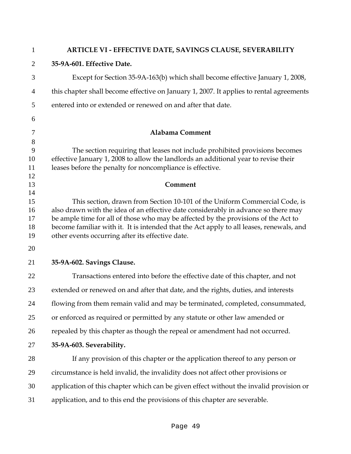| $\mathbf{1}$   | ARTICLE VI - EFFECTIVE DATE, SAVINGS CLAUSE, SEVERABILITY                                                                                                          |
|----------------|--------------------------------------------------------------------------------------------------------------------------------------------------------------------|
| $\overline{2}$ | 35-9A-601. Effective Date.                                                                                                                                         |
| 3              | Except for Section 35-9A-163(b) which shall become effective January 1, 2008,                                                                                      |
| 4              | this chapter shall become effective on January 1, 2007. It applies to rental agreements                                                                            |
| 5              | entered into or extended or renewed on and after that date.                                                                                                        |
| 6              |                                                                                                                                                                    |
| 7              | <b>Alabama Comment</b>                                                                                                                                             |
| 8              |                                                                                                                                                                    |
| 9<br>10        | The section requiring that leases not include prohibited provisions becomes<br>effective January 1, 2008 to allow the landlords an additional year to revise their |
| 11             | leases before the penalty for noncompliance is effective.                                                                                                          |
| 12<br>13       | Comment                                                                                                                                                            |
| 14             |                                                                                                                                                                    |
| 15             | This section, drawn from Section 10-101 of the Uniform Commercial Code, is                                                                                         |
| 16             | also drawn with the idea of an effective date considerably in advance so there may                                                                                 |
| 17             | be ample time for all of those who may be affected by the provisions of the Act to                                                                                 |
| 18             | become familiar with it. It is intended that the Act apply to all leases, renewals, and                                                                            |
| 19             | other events occurring after its effective date.                                                                                                                   |
| 20             |                                                                                                                                                                    |
| 21             | 35-9A-602. Savings Clause.                                                                                                                                         |
| 22             | Transactions entered into before the effective date of this chapter, and not                                                                                       |
| 23             | extended or renewed on and after that date, and the rights, duties, and interests                                                                                  |
| 24             | flowing from them remain valid and may be terminated, completed, consummated,                                                                                      |
| 25             | or enforced as required or permitted by any statute or other law amended or                                                                                        |
| 26             | repealed by this chapter as though the repeal or amendment had not occurred.                                                                                       |
| 27             | 35-9A-603. Severability.                                                                                                                                           |
| 28             | If any provision of this chapter or the application thereof to any person or                                                                                       |
| 29             | circumstance is held invalid, the invalidity does not affect other provisions or                                                                                   |
| 30             | application of this chapter which can be given effect without the invalid provision or                                                                             |
| 31             | application, and to this end the provisions of this chapter are severable.                                                                                         |
|                |                                                                                                                                                                    |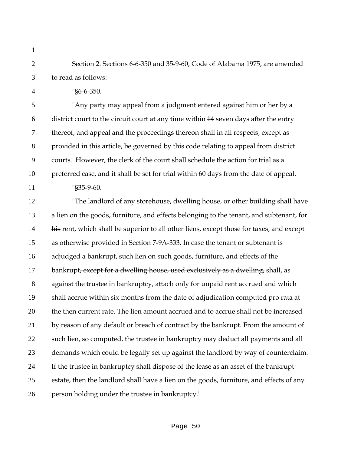Section 2. Sections 6-6-350 and 35-9-60, Code of Alabama 1975, are amended to read as follows:

"§6-6-350.

"Any party may appeal from a judgment entered against him or her by a 6 district court to the circuit court at any time within 44 seven days after the entry thereof, and appeal and the proceedings thereon shall in all respects, except as provided in this article, be governed by this code relating to appeal from district courts. However, the clerk of the court shall schedule the action for trial as a preferred case, and it shall be set for trial within 60 days from the date of appeal.

"§35-9-60.

12 "The landlord of any storehouse, dwelling house, or other building shall have a lien on the goods, furniture, and effects belonging to the tenant, and subtenant, for 14 his rent, which shall be superior to all other liens, except those for taxes, and except as otherwise provided in Section 7-9A-333. In case the tenant or subtenant is adjudged a bankrupt, such lien on such goods, furniture, and effects of the 17 bankrupt<del>, except for a dwelling house, used exclusively as a dwelling,</del> shall, as against the trustee in bankruptcy, attach only for unpaid rent accrued and which shall accrue within six months from the date of adjudication computed pro rata at the then current rate. The lien amount accrued and to accrue shall not be increased 21 by reason of any default or breach of contract by the bankrupt. From the amount of such lien, so computed, the trustee in bankruptcy may deduct all payments and all demands which could be legally set up against the landlord by way of counterclaim. If the trustee in bankruptcy shall dispose of the lease as an asset of the bankrupt estate, then the landlord shall have a lien on the goods, furniture, and effects of any person holding under the trustee in bankruptcy."